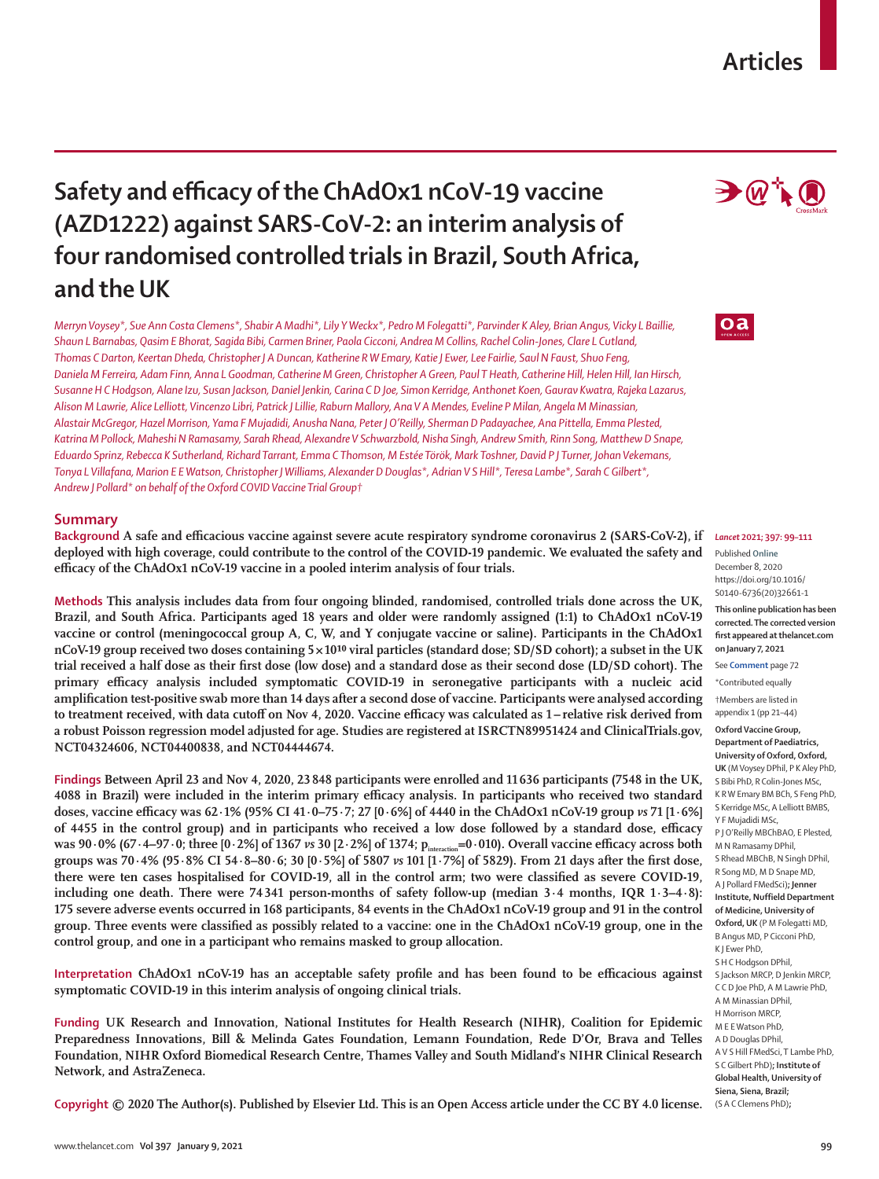## **Articles**

# **Safety and efficacy of the ChAdOx1 nCoV-19 vaccine (AZD1222) against SARS-CoV-2: an interim analysis of four randomised controlled trials in Brazil, South Africa, and the UK**

*Merryn Voysey\*, Sue Ann Costa Clemens\*, Shabir A Madhi\*, Lily Y Weckx\*, Pedro M Folegatti\*, Parvinder K Aley, Brian Angus, Vicky L Baillie, Shaun L Barnabas, Qasim E Bhorat, Sagida Bibi, Carmen Briner, Paola Cicconi, Andrea M Collins, Rachel Colin-Jones, Clare L Cutland, Thomas C Darton, Keertan Dheda, Christopher J A Duncan, Katherine R W Emary, Katie J Ewer, Lee Fairlie, Saul N Faust, Shuo Feng, Daniela M Ferreira, Adam Finn, Anna L Goodman, Catherine M Green, Christopher A Green, Paul T Heath, Catherine Hill, Helen Hill, Ian Hirsch, Susanne H C Hodgson, Alane Izu, Susan Jackson, Daniel Jenkin, Carina C D Joe, Simon Kerridge, Anthonet Koen, Gaurav Kwatra, Rajeka Lazarus, Alison M Lawrie, Alice Lelliott, Vincenzo Libri, Patrick J Lillie, Raburn Mallory, Ana V A Mendes, Eveline P Milan, Angela M Minassian, Alastair McGregor, Hazel Morrison, Yama F Mujadidi, Anusha Nana, Peter J O'Reilly, Sherman D Padayachee, Ana Pittella, Emma Plested, Katrina M Pollock, Maheshi N Ramasamy, Sarah Rhead, Alexandre V Schwarzbold, Nisha Singh, Andrew Smith, Rinn Song, Matthew D Snape, Eduardo Sprinz, Rebecca K Sutherland, Richard Tarrant, Emma C Thomson, M Estée Török, Mark Toshner, David P J Turner, Johan Vekemans, Tonya L Villafana, Marion E E Watson, Christopher J Williams, Alexander D Douglas\*, Adrian V S Hill\*, Teresa Lambe\*, Sarah C Gilbert\*, Andrew J Pollard\* on behalf of the Oxford COVID Vaccine Trial Group†*

#### **Summary**

**Background A safe and efficacious vaccine against severe acute respiratory syndrome coronavirus 2 (SARS-CoV-2), if**  *Lancet* **2021; 397: 99–111 deployed with high coverage, could contribute to the control of the COVID-19 pandemic. We evaluated the safety and efficacy of the ChAdOx1 nCoV-19 vaccine in a pooled interim analysis of four trials.**

**Methods This analysis includes data from four ongoing blinded, randomised, controlled trials done across the UK, Brazil, and South Africa. Participants aged 18 years and older were randomly assigned (1:1) to ChAdOx1 nCoV-19 vaccine or control (meningococcal group A, C, W, and Y conjugate vaccine or saline). Participants in the ChAdOx1**  nCoV-19 group received two doses containing 5 × 10<sup>10</sup> viral particles (standard dose; SD/SD cohort); a subset in the UK **trial received a half dose as their first dose (low dose) and a standard dose as their second dose (LD/SD cohort). The primary efficacy analysis included symptomatic COVID-19 in seronegative participants with a nucleic acid amplification test-positive swab more than 14 days after a second dose of vaccine. Participants were analysed according to treatment received, with data cutoff on Nov 4, 2020. Vaccine efficacy was calculated as 1−relative risk derived from a robust Poisson regression model adjusted for age. Studies are registered at ISRCTN89951424 and ClinicalTrials.gov, NCT04324606, NCT04400838, and NCT04444674.**

**Findings Between April 23 and Nov 4, 2020, 23 848 participants were enrolled and 11636 participants (7548 in the UK, 4088 in Brazil) were included in the interim primary efficacy analysis. In participants who received two standard doses, vaccine efficacy was 62·1% (95% CI 41·0–75·7; 27 [0·6%] of 4440 in the ChAdOx1 nCoV-19 group** *vs* **71 [1·6%] of 4455 in the control group) and in participants who received a low dose followed by a standard dose, efficacy was 90·0% (67·4–97·0; three [0·2%] of 1367** *vs* **30 [2·2%] of 1374; pinteraction=0·010). Overall vaccine efficacy across both groups was 70·4% (95·8% CI 54·8–80·6; 30 [0·5%] of 5807** *vs* **101 [1·7%] of 5829). From 21 days after the first dose, there were ten cases hospitalised for COVID-19, all in the control arm; two were classified as severe COVID-19, including one death. There were 74341 person-months of safety follow-up (median 3·4 months, IQR 1·3–4·8): 175 severe adverse events occurred in 168 participants, 84 events in the ChAdOx1 nCoV-19 group and 91 in the control group. Three events were classified as possibly related to a vaccine: one in the ChAdOx1 nCoV-19 group, one in the control group, and one in a participant who remains masked to group allocation.**

**Interpretation ChAdOx1 nCoV-19 has an acceptable safety profile and has been found to be efficacious against symptomatic COVID-19 in this interim analysis of ongoing clinical trials.**

**Funding UK Research and Innovation, National Institutes for Health Research (NIHR), Coalition for Epidemic Preparedness Innovations, Bill & Melinda Gates Foundation, Lemann Foundation, Rede D'Or, Brava and Telles Foundation, NIHR Oxford Biomedical Research Centre, Thames Valley and South Midland's NIHR Clinical Research Network, and AstraZeneca.**

**Copyright © 2020 The Author(s). Published by Elsevier Ltd. This is an Open Access article under the CC BY 4.0 license.** (S A C Clemens PhD)**;**

### $\mathbf{a}$

Published **Online** December 8, 2020 https://doi.org/10.1016/ S0140-6736(20)32661-1

**This online publication has been corrected. The corrected version first appeared at thelancet.com on January 7, 2021**

See **Comment** page 72

\*Contributed equally

†Members are listed in appendix 1 (pp 21–44)

**Oxford Vaccine Group, Department of Paediatrics, University of Oxford, Oxford, UK** (M Voysey DPhil, P K Aley PhD, S Bibi PhD, R Colin-Jones MSc, K R W Emary BM BCh, S Feng PhD, S Kerridge MSc, A Lelliott BMBS, Y F Mujadidi MSc, P J O'Reilly MBChBAO, E Plested, M N Ramasamy DPhil, S Rhead MBChB, N Singh DPhil R Song MD, M D Snape MD, A J Pollard FMedSci)**; Jenner Institute, Nuffield Department of Medicine, University of Oxford, UK** (P M Folegatti MD, B Angus MD, P Cicconi PhD, K J Ewer PhD, S H C Hodgson DPhil, S Jackson MRCP, D Jenkin MRCP, C C D Joe PhD, A M Lawrie PhD, A M Minassian DPhil, H Morrison MRCP, M E E Watson PhD, A D Douglas DPhil, A V S Hill FMedSci, T Lambe PhD, S C Gilbert PhD)**; Institute of Global Health, University of Siena, Siena, Brazil;**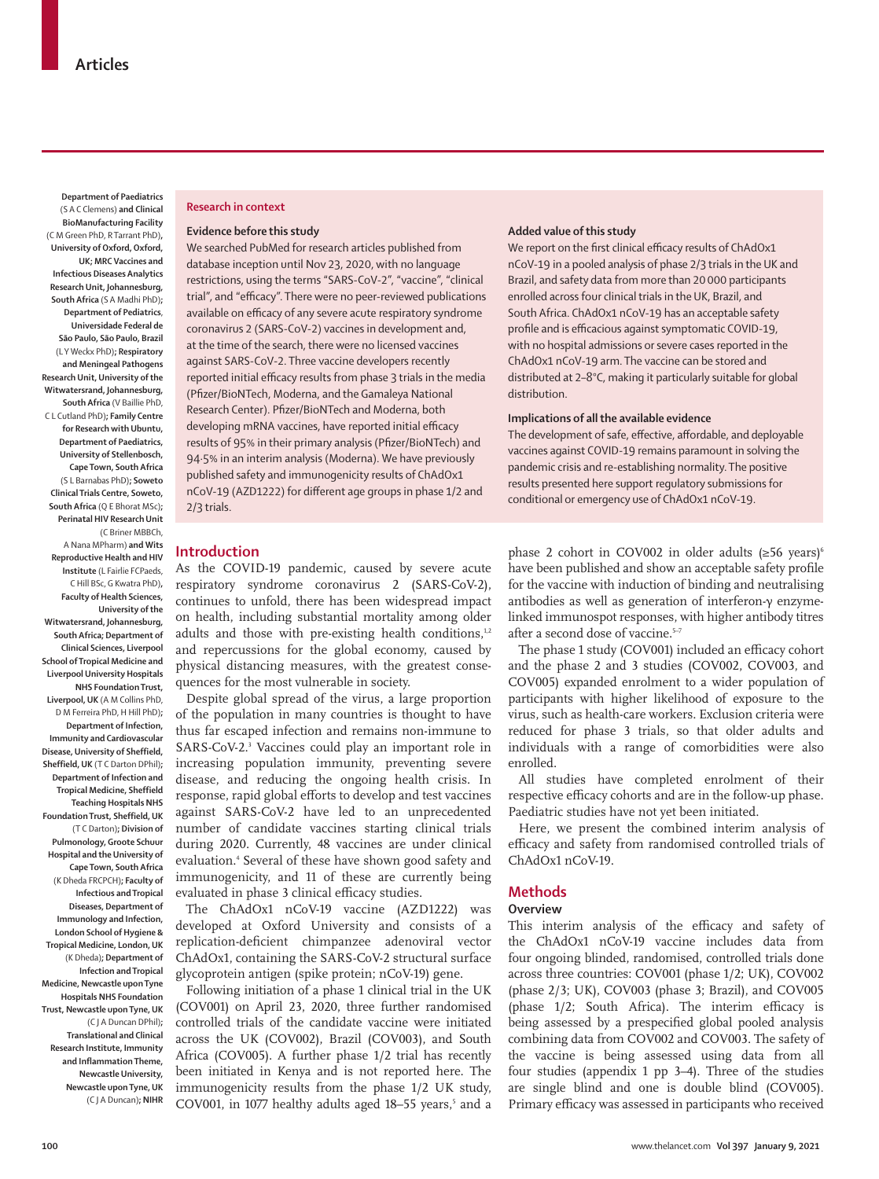**Department of Paediatrics** (S A C Clemens) **and Clinical BioManufacturing Facility** (C M Green PhD, R Tarrant PhD)**, University of Oxford, Oxford, UK; MRC Vaccines and Infectious Diseases Analytics Research Unit, Johannesburg, South Africa** (S A Madhi PhD)**; Department of Pediatrics**, **Universidade Federal de São Paulo, São Paulo, Brazil**  (L Y Weckx PhD)**; Respiratory and Meningeal Pathogens Research Unit, University of the Witwatersrand, Johannesburg, South Africa** (V Baillie PhD, C L Cutland PhD)**; Family Centre for Research with Ubuntu, Department of Paediatrics, University of Stellenbosch, Cape Town, South Africa** (S L Barnabas PhD)**; Soweto Clinical Trials Centre, Soweto, South Africa** (Q E Bhorat MSc)**; Perinatal HIV Research Unit** (C Briner MBBCh, A Nana MPharm) **and Wits Reproductive Health and HIV Institute** (L Fairlie FCPaeds, C Hill BSc, G Kwatra PhD)**, Faculty of Health Sciences, University of the Witwatersrand, Johannesburg, South Africa; Department of Clinical Sciences, Liverpool School of Tropical Medicine and Liverpool University Hospitals NHS Foundation Trust, Liverpool, UK** (A M Collins PhD, D M Ferreira PhD, H Hill PhD)**; Department of Infection, Immunity and Cardiovascular Disease, University of Sheffield, Sheffield, UK** (T C Darton DPhil)**; Department of Infection and Tropical Medicine, Sheffield Teaching Hospitals NHS Foundation Trust, Sheffield, UK** (T C Darton)**; Division of Pulmonology, Groote Schuur Hospital and the University of Cape Town, South Africa** (K Dheda FRCPCH)**; Faculty of Infectious and Tropical Diseases, Department of Immunology and Infection, London School of Hygiene & Tropical Medicine, London, UK**  (K Dheda)**; Department of Infection and Tropical Medicine, Newcastle upon Tyne Hospitals NHS Foundation Trust, Newcastle upon Tyne, UK** (C J A Duncan DPhil)**; Translational and Clinical Research Institute, Immunity and Inflammation Theme,** 

#### **Newcastle University, Newcastle upon Tyne, UK** (C J A Duncan)**; NIHR**

#### **Research in context**

#### **Evidence before this study**

We searched PubMed for research articles published from database inception until Nov 23, 2020, with no language restrictions, using the terms "SARS-CoV-2", "vaccine", "clinical trial", and "efficacy". There were no peer-reviewed publications available on efficacy of any severe acute respiratory syndrome coronavirus 2 (SARS-CoV-2) vaccines in development and, at the time of the search, there were no licensed vaccines against SARS-CoV-2. Three vaccine developers recently reported initial efficacy results from phase 3 trials in the media (Pfizer/BioNTech, Moderna, and the Gamaleya National Research Center). Pfizer/BioNTech and Moderna, both developing mRNA vaccines, have reported initial efficacy results of 95% in their primary analysis (Pfizer/BioNTech) and 94·5% in an interim analysis (Moderna). We have previously published safety and immunogenicity results of ChAdOx1 nCoV-19 (AZD1222) for different age groups in phase 1/2 and 2/3 trials.

#### **Added value of this study**

We report on the first clinical efficacy results of ChAdOx1 nCoV-19 in a pooled analysis of phase 2/3 trials in the UK and Brazil, and safety data from more than 20000 participants enrolled across four clinical trials in the UK, Brazil, and South Africa. ChAdOx1 nCoV-19 has an acceptable safety profile and is efficacious against symptomatic COVID-19, with no hospital admissions or severe cases reported in the ChAdOx1 nCoV-19 arm. The vaccine can be stored and distributed at 2–8°C, making it particularly suitable for global distribution.

#### **Implications of all the available evidence**

The development of safe, effective, affordable, and deployable vaccines against COVID-19 remains paramount in solving the pandemic crisis and re-establishing normality. The positive results presented here support regulatory submissions for conditional or emergency use of ChAdOx1 nCoV-19.

#### **Introduction**

As the COVID-19 pandemic, caused by severe acute respiratory syndrome coronavirus 2 (SARS-CoV-2), continues to unfold, there has been widespread impact on health, including substantial mortality among older adults and those with pre-existing health conditions,<sup>1,2</sup> and repercussions for the global economy, caused by physical distancing measures, with the greatest consequences for the most vulnerable in society.

Despite global spread of the virus, a large proportion of the population in many countries is thought to have thus far escaped infection and remains non-immune to SARS-CoV-2. 3 Vaccines could play an important role in increasing population immunity, preventing severe disease, and reducing the ongoing health crisis. In response, rapid global efforts to develop and test vaccines against SARS-CoV-2 have led to an unprecedented number of candidate vaccines starting clinical trials during 2020. Currently, 48 vaccines are under clinical evaluation.4 Several of these have shown good safety and immunogenicity, and 11 of these are currently being evaluated in phase 3 clinical efficacy studies.

The ChAdOx1 nCoV-19 vaccine (AZD1222) was developed at Oxford University and consists of a replication-deficient chimpanzee adenoviral vector ChAdOx1, containing the SARS-CoV-2 structural surface glycoprotein antigen (spike protein; nCoV-19) gene.

Following initiation of a phase 1 clinical trial in the UK (COV001) on April 23, 2020, three further randomised controlled trials of the candidate vaccine were initiated across the UK (COV002), Brazil (COV003), and South Africa (COV005). A further phase 1/2 trial has recently been initiated in Kenya and is not reported here. The immunogenicity results from the phase 1/2 UK study, COV001, in  $1077$  healthy adults aged  $18-55$  years,<sup>5</sup> and a

phase 2 cohort in COV002 in older adults  $(\geq 56 \text{ years})^6$ have been published and show an acceptable safety profile for the vaccine with induction of binding and neutralising antibodies as well as generation of interferon-γ enzymelinked immunospot responses, with higher antibody titres after a second dose of vaccine.<sup>5-7</sup>

The phase 1 study (COV001) included an efficacy cohort and the phase 2 and 3 studies (COV002, COV003, and COV005) expanded enrolment to a wider population of participants with higher likelihood of exposure to the virus, such as health-care workers. Exclusion criteria were reduced for phase 3 trials, so that older adults and individuals with a range of comorbidities were also enrolled.

All studies have completed enrolment of their respective efficacy cohorts and are in the follow-up phase. Paediatric studies have not yet been initiated.

Here, we present the combined interim analysis of efficacy and safety from randomised controlled trials of ChAdOx1 nCoV-19.

### **Methods**

#### **Overview**

This interim analysis of the efficacy and safety of the ChAdOx1 nCoV-19 vaccine includes data from four ongoing blinded, randomised, controlled trials done across three countries: COV001 (phase 1/2; UK), COV002 (phase 2/3; UK), COV003 (phase 3; Brazil), and COV005 (phase 1/2; South Africa). The interim efficacy is being assessed by a prespecified global pooled analysis combining data from COV002 and COV003. The safety of the vaccine is being assessed using data from all four studies (appendix 1 pp 3–4). Three of the studies are single blind and one is double blind (COV005). Primary efficacy was assessed in participants who received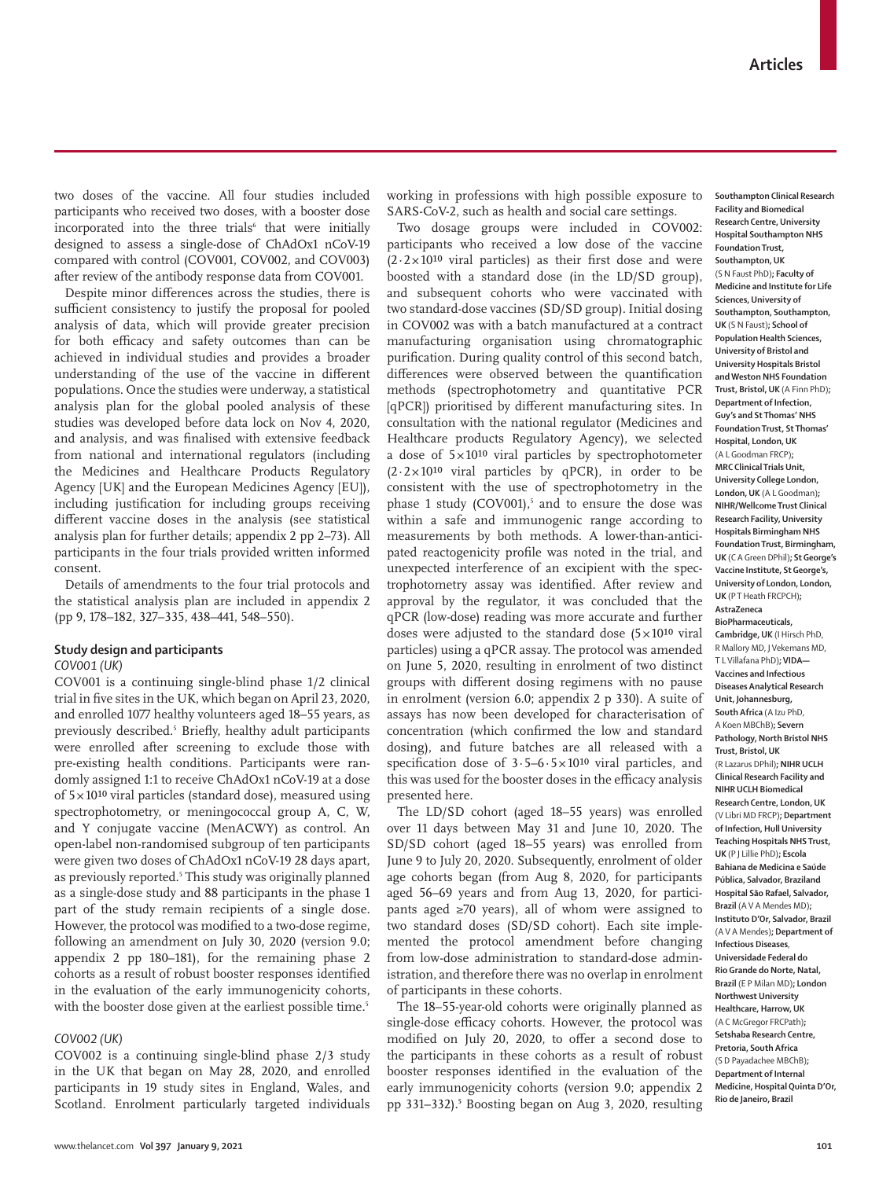two doses of the vaccine. All four studies included participants who received two doses, with a booster dose incorporated into the three trials<sup>6</sup> that were initially designed to assess a single-dose of ChAdOx1 nCoV-19 compared with control (COV001, COV002, and COV003) after review of the antibody response data from COV001.

Despite minor differences across the studies, there is sufficient consistency to justify the proposal for pooled analysis of data, which will provide greater precision for both efficacy and safety outcomes than can be achieved in individual studies and provides a broader understanding of the use of the vaccine in different populations. Once the studies were underway, a statistical analysis plan for the global pooled analysis of these studies was developed before data lock on Nov 4, 2020, and analysis, and was finalised with extensive feedback from national and international regulators (including the Medicines and Healthcare Products Regulatory Agency [UK] and the European Medicines Agency [EU]), including justification for including groups receiving different vaccine doses in the analysis (see statistical analysis plan for further details; appendix 2 pp 2–73). All participants in the four trials provided written informed consent.

Details of amendments to the four trial protocols and the statistical analysis plan are included in appendix 2 (pp 9, 178–182, 327–335, 438–441, 548–550).

#### **Study design and participants**

#### *COV001 (UK)*

COV001 is a continuing single-blind phase 1/2 clinical trial in five sites in the UK, which began on April 23, 2020, and enrolled 1077 healthy volunteers aged 18–55 years, as previously described.5 Briefly, healthy adult participants were enrolled after screening to exclude those with pre-existing health conditions. Participants were randomly assigned 1:1 to receive ChAdOx1 nCoV-19 at a dose of  $5\times10^{10}$  viral particles (standard dose), measured using spectrophotometry, or meningococcal group A, C, W, and Y conjugate vaccine (MenACWY) as control. An open-label non-randomised subgroup of ten participants were given two doses of ChAdOx1 nCoV-19 28 days apart, as previously reported.<sup>5</sup> This study was originally planned as a single-dose study and 88 participants in the phase 1 part of the study remain recipients of a single dose. However, the protocol was modified to a two-dose regime, following an amendment on July 30, 2020 (version 9.0; appendix 2 pp 180–181), for the remaining phase 2 cohorts as a result of robust booster responses identified in the evaluation of the early immunogenicity cohorts, with the booster dose given at the earliest possible time.<sup>5</sup>

#### *COV002 (UK)*

COV002 is a continuing single-blind phase 2/3 study in the UK that began on May 28, 2020, and enrolled participants in 19 study sites in England, Wales, and Scotland. Enrolment particularly targeted individuals working in professions with high possible exposure to SARS-CoV-2, such as health and social care settings.

Two dosage groups were included in COV002: participants who received a low dose of the vaccine  $(2.2\times10^{10}$  viral particles) as their first dose and were boosted with a standard dose (in the LD/SD group), and subsequent cohorts who were vaccinated with two standard-dose vaccines (SD/SD group). Initial dosing in COV002 was with a batch manufactured at a contract manufacturing organisation using chromatographic purification. During quality control of this second batch, differences were observed between the quantification methods (spectrophotometry and quantitative PCR [qPCR]) prioritised by different manufacturing sites. In consultation with the national regulator (Medicines and Healthcare products Regulatory Agency), we selected a dose of  $5\times10^{10}$  viral particles by spectrophotometer  $(2.2 \times 10^{10}$  viral particles by qPCR), in order to be consistent with the use of spectrophotometry in the phase 1 study  $(COV001)$ ,<sup>5</sup> and to ensure the dose was within a safe and immunogenic range according to measurements by both methods. A lower-than-anticipated reactogenicity profile was noted in the trial, and unexpected interference of an excipient with the spectrophotometry assay was identified. After review and approval by the regulator, it was concluded that the qPCR (low-dose) reading was more accurate and further doses were adjusted to the standard dose  $(5 \times 10^{10} \text{ viral})$ particles) using a qPCR assay. The protocol was amended on June 5, 2020, resulting in enrolment of two distinct groups with different dosing regimens with no pause in enrolment (version 6.0; appendix 2 p 330). A suite of assays has now been developed for characterisation of concentration (which confirmed the low and standard dosing), and future batches are all released with a specification dose of  $3.5-6.5 \times 10^{10}$  viral particles, and this was used for the booster doses in the efficacy analysis presented here.

The LD/SD cohort (aged 18–55 years) was enrolled over 11 days between May 31 and June 10, 2020. The SD/SD cohort (aged 18–55 years) was enrolled from June 9 to July 20, 2020. Subsequently, enrolment of older age cohorts began (from Aug 8, 2020, for participants aged 56–69 years and from Aug 13, 2020, for participants aged ≥70 years), all of whom were assigned to two standard doses (SD/SD cohort). Each site implemented the protocol amendment before changing from low-dose administration to standard-dose administration, and therefore there was no overlap in enrolment of participants in these cohorts.

The 18–55-year-old cohorts were originally planned as single-dose efficacy cohorts. However, the protocol was modified on July 20, 2020, to offer a second dose to the participants in these cohorts as a result of robust booster responses identified in the evaluation of the early immunogenicity cohorts (version 9.0; appendix 2 pp 331–332).**<sup>5</sup>** Boosting began on Aug 3, 2020, resulting **Southampton Clinical Research Facility and Biomedical Research Centre, University Hospital Southampton NHS Foundation Trust, Southampton, UK**  (S N Faust PhD)**; Faculty of Medicine and Institute for Life Sciences, University of Southampton, Southampton, UK** (S N Faust)**; School of Population Health Sciences, University of Bristol and University Hospitals Bristol and Weston NHS Foundation Trust, Bristol, UK** (A Finn PhD)**; Department of Infection, Guy's and St Thomas' NHS Foundation Trust, St Thomas' Hospital, London, UK** (A L Goodman FRCP)**; MRC Clinical Trials Unit, University College London, London, UK** (A L Goodman)**; NIHR/Wellcome Trust Clinical Research Facility, University Hospitals Birmingham NHS Foundation Trust, Birmingham, UK** (C A Green DPhil)**; St George's Vaccine Institute, St George's, University of London, London, UK** (P T Heath FRCPCH)**; AstraZeneca BioPharmaceuticals, Cambridge, UK** (I Hirsch PhD, R Mallory MD, J Vekemans MD, T L Villafana PhD)**; VIDA— Vaccines and Infectious Diseases Analytical Research Unit, Johannesburg, South Africa** (A Izu PhD,

A Koen MBChB)**; Severn Pathology, North Bristol NHS Trust, Bristol, UK**  (R Lazarus DPhil)**; NIHR UCLH Clinical Research Facility and NIHR UCLH Biomedical Research Centre, London, UK** (V Libri MD FRCP)**; Department of Infection, Hull University Teaching Hospitals NHS Trust, UK** (P J Lillie PhD)**; Escola Bahiana de Medicina e Saúde Pública, Salvador, Braziland Hospital São Rafael, Salvador, Brazil** (A V A Mendes MD)**; Instituto D'Or, Salvador, Brazil**  (A V A Mendes)**; Department of Infectious Diseases**, **Universidade Federal do Rio Grande do Norte, Natal, Brazil** (E P Milan MD)**; London Northwest University Healthcare, Harrow, UK** (A C McGregor FRCPath)**; Setshaba Research Centre, Pretoria, South Africa** (S D Payadachee MBChB)**; Department of Internal Medicine, Hospital Quinta D'Or,** 

**Rio de Janeiro, Brazil**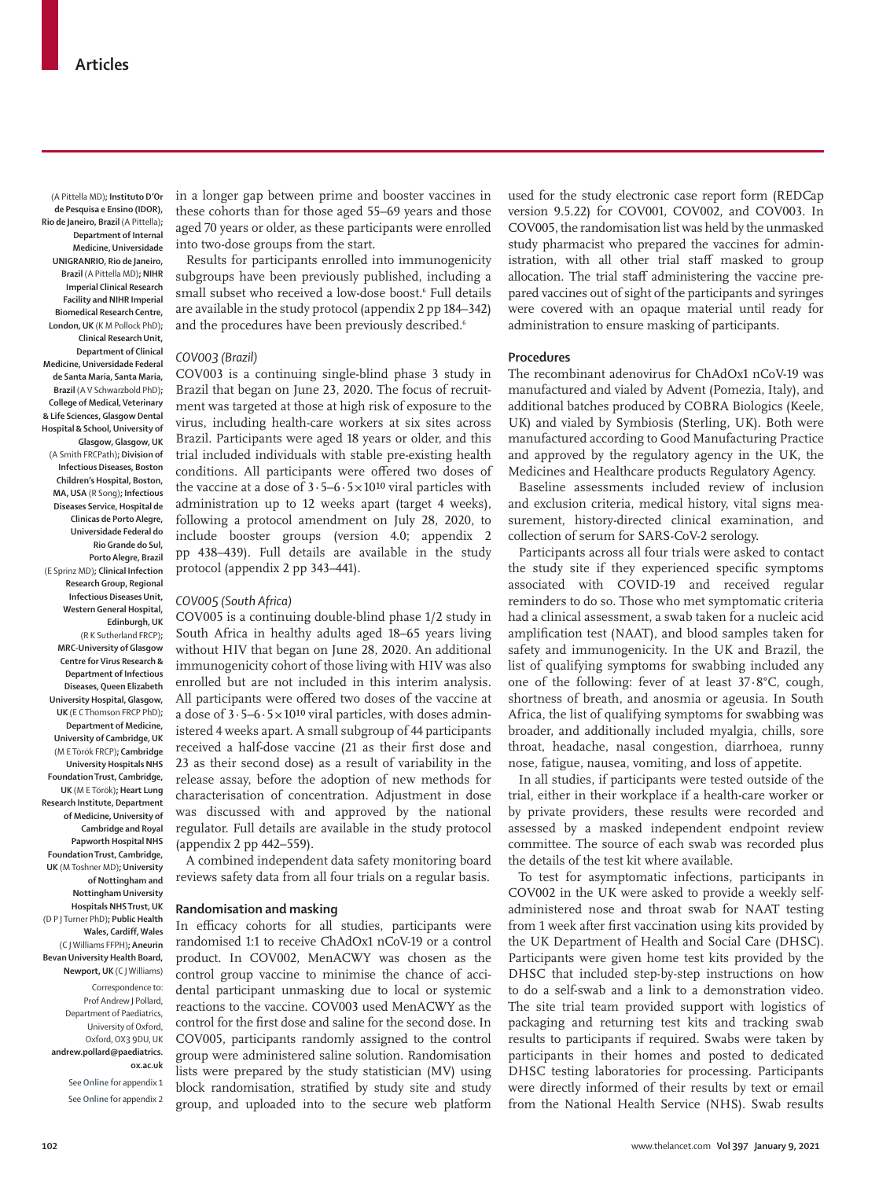(A Pittella MD)**; Instituto D'Or de Pesquisa e Ensino (IDOR), Rio de Janeiro, Brazil** (A Pittella)**; Department of Internal Medicine, Universidade UNIGRANRIO, Rio de Janeiro, Brazil** (A Pittella MD)**; NIHR Imperial Clinical Research Facility and NIHR Imperial Biomedical Research Centre, London, UK** (K M Pollock PhD)**; Clinical Research Unit, Department of Clinical Medicine, Universidade Federal de Santa Maria, Santa Maria, Brazil** (A V Schwarzbold PhD)**; College of Medical, Veterinary & Life Sciences, Glasgow Dental Hospital & School, University of Glasgow, Glasgow, UK** (A Smith FRCPath)**; Division of Infectious Diseases, Boston Children's Hospital, Boston, MA, USA** (R Song)**; Infectious Diseases Service, Hospital de Clinicas de Porto Alegre, Universidade Federal do Rio Grande do Sul, Porto Alegre, Brazil** (E Sprinz MD)**; Clinical Infection Research Group, Regional Infectious Diseases Unit, Western General Hospital, Edinburgh, UK**  (R K Sutherland FRCP)**; MRC-University of Glasgow Centre for Virus Research & Department of Infectious Diseases, Queen Elizabeth University Hospital, Glasgow, UK** (E C Thomson FRCP PhD)**; Department of Medicine, University of Cambridge, UK** (M E Török FRCP)**; Cambridge University Hospitals NHS Foundation Trust, Cambridge, UK** (M E Török)**; Heart Lung Research Institute, Department of Medicine, University of Cambridge and Royal Papworth Hospital NHS Foundation Trust, Cambridge, UK** (M Toshner MD)**; University of Nottingham and Nottingham University Hospitals NHS Trust, UK** (D P J Turner PhD)**; Public Health Wales, Cardiff, Wales**

(C J Williams FFPH)**; Aneurin Bevan University Health Board, Newport, UK** (C J Williams) Correspondence to:

Prof Andrew J Pollard, Department of Paediatrics, University of Oxford, Oxford, OX3 9DU, UK **andrew.pollard@paediatrics. ox.ac.uk**

See **Online** for appendix 1 See **Online** for appendix 2 in a longer gap between prime and booster vaccines in these cohorts than for those aged 55–69 years and those aged 70 years or older, as these participants were enrolled into two-dose groups from the start.

Results for participants enrolled into immunogenicity subgroups have been previously published, including a small subset who received a low-dose boost.6 Full details are available in the study protocol (appendix 2 pp 184–342) and the procedures have been previously described.<sup>6</sup>

#### *COV003 (Brazil)*

COV003 is a continuing single-blind phase 3 study in Brazil that began on June 23, 2020. The focus of recruitment was targeted at those at high risk of exposure to the virus, including health-care workers at six sites across Brazil. Participants were aged 18 years or older, and this trial included individuals with stable pre-existing health conditions. All participants were offered two doses of the vaccine at a dose of  $3.5-6.5 \times 10^{10}$  viral particles with administration up to 12 weeks apart (target 4 weeks), following a protocol amendment on July 28, 2020, to include booster groups (version 4.0; appendix 2 pp 438–439). Full details are available in the study protocol (appendix 2 pp 343–441).

#### *COV005 (South Africa)*

COV005 is a continuing double-blind phase 1/2 study in South Africa in healthy adults aged 18–65 years living without HIV that began on June 28, 2020. An additional immunogenicity cohort of those living with HIV was also enrolled but are not included in this interim analysis. All participants were offered two doses of the vaccine at a dose of  $3.5-6.5 \times 10^{10}$  viral particles, with doses administered 4 weeks apart. A small subgroup of 44 participants received a half-dose vaccine (21 as their first dose and 23 as their second dose) as a result of variability in the release assay, before the adoption of new methods for characterisation of concentration. Adjustment in dose was discussed with and approved by the national regulator. Full details are available in the study protocol (appendix 2 pp 442–559).

A combined independent data safety monitoring board reviews safety data from all four trials on a regular basis.

#### **Randomisation and masking**

In efficacy cohorts for all studies, participants were randomised 1:1 to receive ChAdOx1 nCoV-19 or a control product. In COV002, MenACWY was chosen as the control group vaccine to minimise the chance of accidental participant unmasking due to local or systemic reactions to the vaccine. COV003 used MenACWY as the control for the first dose and saline for the second dose. In COV005, participants randomly assigned to the control group were administered saline solution. Randomisation lists were prepared by the study statistician (MV) using block randomisation, stratified by study site and study group, and uploaded into to the secure web platform used for the study electronic case report form (REDCap version 9.5.22) for COV001, COV002, and COV003. In COV005, the randomisation list was held by the unmasked study pharmacist who prepared the vaccines for administration, with all other trial staff masked to group allocation. The trial staff administering the vaccine prepared vaccines out of sight of the participants and syringes were covered with an opaque material until ready for administration to ensure masking of participants.

#### **Procedures**

The recombinant adenovirus for ChAdOx1 nCoV-19 was manufactured and vialed by Advent (Pomezia, Italy), and additional batches produced by COBRA Biologics (Keele, UK) and vialed by Symbiosis (Sterling, UK). Both were manufactured according to Good Manufacturing Practice and approved by the regulatory agency in the UK, the Medicines and Healthcare products Regulatory Agency.

Baseline assessments included review of inclusion and exclusion criteria, medical history, vital signs measurement, history-directed clinical examination, and collection of serum for SARS-CoV-2 serology.

Participants across all four trials were asked to contact the study site if they experienced specific symptoms associated with COVID-19 and received regular reminders to do so. Those who met symptomatic criteria had a clinical assessment, a swab taken for a nucleic acid amplification test (NAAT), and blood samples taken for safety and immunogenicity. In the UK and Brazil, the list of qualifying symptoms for swabbing included any one of the following: fever of at least 37·8°C, cough, shortness of breath, and anosmia or ageusia. In South Africa, the list of qualifying symptoms for swabbing was broader, and additionally included myalgia, chills, sore throat, headache, nasal congestion, diarrhoea, runny nose, fatigue, nausea, vomiting, and loss of appetite.

In all studies, if participants were tested outside of the trial, either in their workplace if a health-care worker or by private providers, these results were recorded and assessed by a masked independent endpoint review committee. The source of each swab was recorded plus the details of the test kit where available.

To test for asymptomatic infections, participants in COV002 in the UK were asked to provide a weekly selfadministered nose and throat swab for NAAT testing from 1 week after first vaccination using kits provided by the UK Department of Health and Social Care (DHSC). Participants were given home test kits provided by the DHSC that included step-by-step instructions on how to do a self-swab and a link to a demonstration video. The site trial team provided support with logistics of packaging and returning test kits and tracking swab results to participants if required. Swabs were taken by participants in their homes and posted to dedicated DHSC testing laboratories for processing. Participants were directly informed of their results by text or email from the National Health Service (NHS). Swab results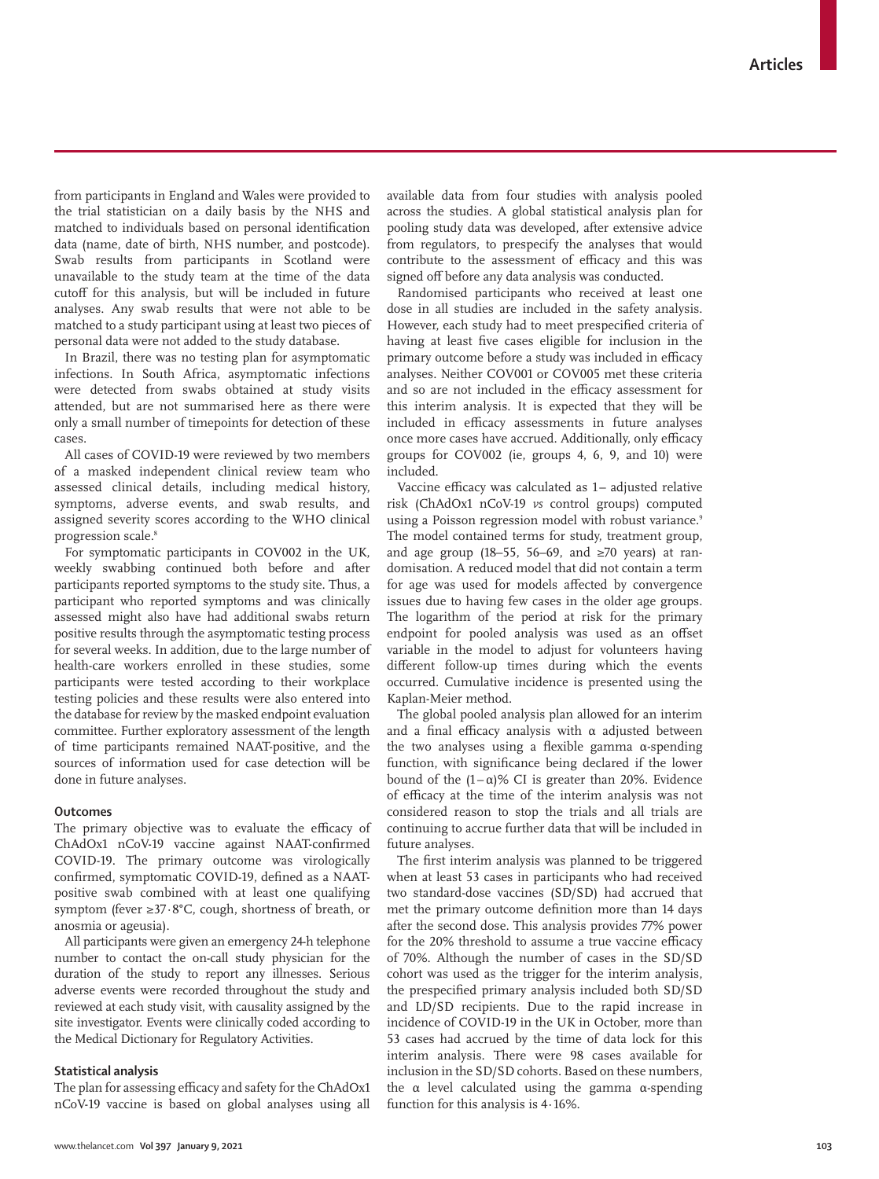from participants in England and Wales were provided to the trial statistician on a daily basis by the NHS and matched to individuals based on personal identification data (name, date of birth, NHS number, and postcode). Swab results from participants in Scotland were unavailable to the study team at the time of the data cutoff for this analysis, but will be included in future analyses. Any swab results that were not able to be matched to a study participant using at least two pieces of personal data were not added to the study database.

In Brazil, there was no testing plan for asymptomatic infections. In South Africa, asymptomatic infections were detected from swabs obtained at study visits attended, but are not summarised here as there were only a small number of timepoints for detection of these cases.

All cases of COVID-19 were reviewed by two members of a masked independent clinical review team who assessed clinical details, including medical history, symptoms, adverse events, and swab results, and assigned severity scores according to the WHO clinical progression scale.<sup>8</sup>

For symptomatic participants in COV002 in the UK, weekly swabbing continued both before and after participants reported symptoms to the study site. Thus, a participant who reported symptoms and was clinically assessed might also have had additional swabs return positive results through the asymptomatic testing process for several weeks. In addition, due to the large number of health-care workers enrolled in these studies, some participants were tested according to their workplace testing policies and these results were also entered into the database for review by the masked endpoint evaluation committee. Further exploratory assessment of the length of time participants remained NAAT-positive, and the sources of information used for case detection will be done in future analyses.

#### **Outcomes**

The primary objective was to evaluate the efficacy of ChAdOx1 nCoV-19 vaccine against NAAT-confirmed COVID-19. The primary outcome was virologically confirmed, symptomatic COVID-19, defined as a NAATpositive swab combined with at least one qualifying symptom (fever ≥37·8°C, cough, shortness of breath, or anosmia or ageusia).

All participants were given an emergency 24-h telephone number to contact the on-call study physician for the duration of the study to report any illnesses. Serious adverse events were recorded throughout the study and reviewed at each study visit, with causality assigned by the site investigator. Events were clinically coded according to the Medical Dictionary for Regulatory Activities.

#### **Statistical analysis**

The plan for assessing efficacy and safety for the ChAdOx1 nCoV-19 vaccine is based on global analyses using all available data from four studies with analysis pooled across the studies. A global statistical analysis plan for pooling study data was developed, after extensive advice from regulators, to prespecify the analyses that would contribute to the assessment of efficacy and this was signed off before any data analysis was conducted.

Randomised participants who received at least one dose in all studies are included in the safety analysis. However, each study had to meet prespecified criteria of having at least five cases eligible for inclusion in the primary outcome before a study was included in efficacy analyses. Neither COV001 or COV005 met these criteria and so are not included in the efficacy assessment for this interim analysis. It is expected that they will be included in efficacy assessments in future analyses once more cases have accrued. Additionally, only efficacy groups for COV002 (ie, groups 4, 6, 9, and 10) were included.

Vaccine efficacy was calculated as 1- adjusted relative risk (ChAdOx1 nCoV-19 *vs* control groups) computed using a Poisson regression model with robust variance.<sup>9</sup> The model contained terms for study, treatment group, and age group (18–55, 56–69, and  $\geq$ 70 years) at randomisation. A reduced model that did not contain a term for age was used for models affected by convergence issues due to having few cases in the older age groups. The logarithm of the period at risk for the primary endpoint for pooled analysis was used as an offset variable in the model to adjust for volunteers having different follow-up times during which the events occurred. Cumulative incidence is presented using the Kaplan-Meier method.

The global pooled analysis plan allowed for an interim and a final efficacy analysis with  $\alpha$  adjusted between the two analyses using a flexible gamma α-spending function, with significance being declared if the lower bound of the  $(1-\alpha)$ % CI is greater than 20%. Evidence of efficacy at the time of the interim analysis was not considered reason to stop the trials and all trials are continuing to accrue further data that will be included in future analyses.

The first interim analysis was planned to be triggered when at least 53 cases in participants who had received two standard-dose vaccines (SD/SD) had accrued that met the primary outcome definition more than 14 days after the second dose. This analysis provides 77% power for the 20% threshold to assume a true vaccine efficacy of 70%. Although the number of cases in the SD/SD cohort was used as the trigger for the interim analysis, the prespecified primary analysis included both SD/SD and LD/SD recipients. Due to the rapid increase in incidence of COVID-19 in the UK in October, more than 53 cases had accrued by the time of data lock for this interim analysis. There were 98 cases available for inclusion in the SD/SD cohorts. Based on these numbers, the α level calculated using the gamma  $α$ -spending function for this analysis is 4·16%.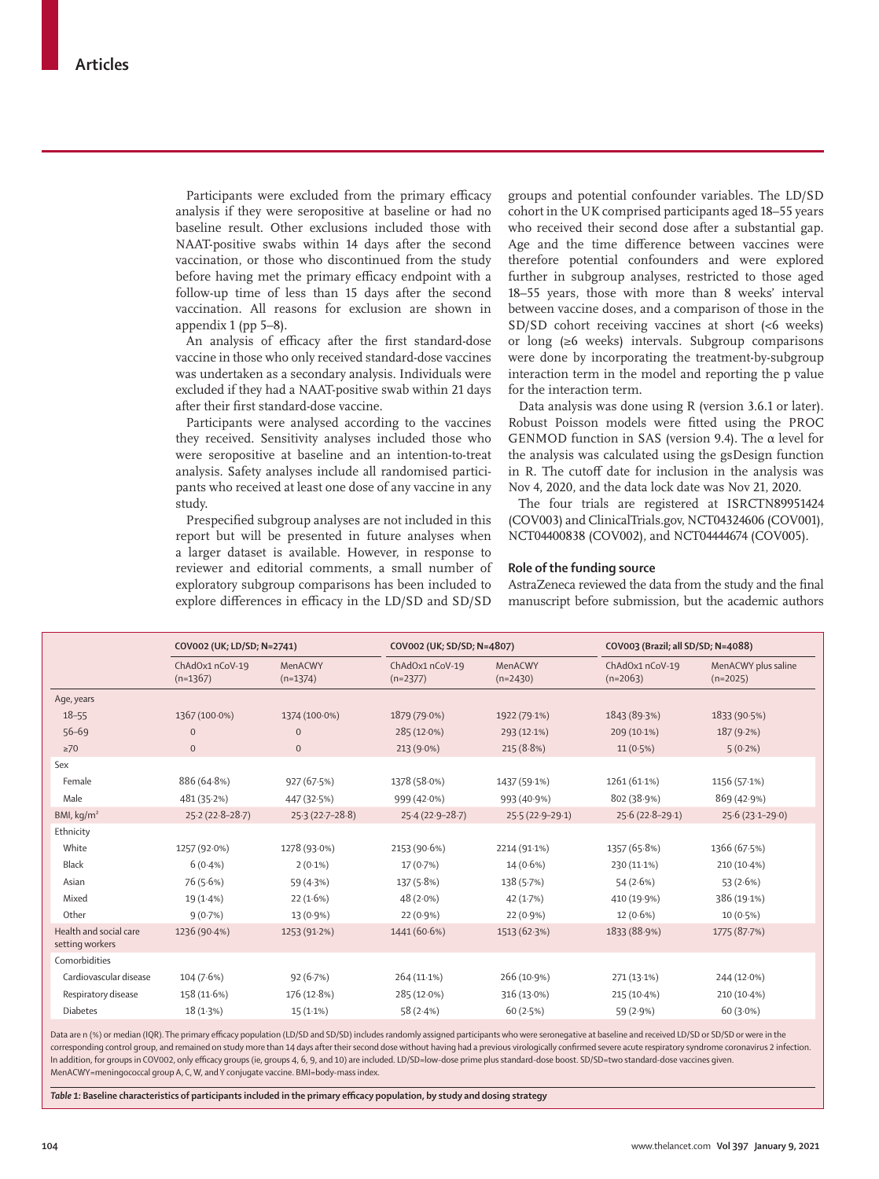Participants were excluded from the primary efficacy analysis if they were seropositive at baseline or had no baseline result. Other exclusions included those with NAAT-positive swabs within 14 days after the second vaccination, or those who discontinued from the study before having met the primary efficacy endpoint with a follow-up time of less than 15 days after the second vaccination. All reasons for exclusion are shown in appendix 1 (pp 5–8).

An analysis of efficacy after the first standard-dose vaccine in those who only received standard-dose vaccines was undertaken as a secondary analysis. Individuals were excluded if they had a NAAT-positive swab within 21 days after their first standard-dose vaccine.

Participants were analysed according to the vaccines they received. Sensitivity analyses included those who were seropositive at baseline and an intention-to-treat analysis. Safety analyses include all randomised participants who received at least one dose of any vaccine in any study.

Prespecified subgroup analyses are not included in this report but will be presented in future analyses when a larger dataset is available. However, in response to reviewer and editorial comments, a small number of exploratory subgroup comparisons has been included to explore differences in efficacy in the LD/SD and SD/SD groups and potential confounder variables. The LD/SD cohort in the UK comprised participants aged 18–55 years who received their second dose after a substantial gap. Age and the time difference between vaccines were therefore potential confounders and were explored further in subgroup analyses, restricted to those aged 18–55 years, those with more than 8 weeks' interval between vaccine doses, and a comparison of those in the SD/SD cohort receiving vaccines at short (<6 weeks) or long (≥6 weeks) intervals. Subgroup comparisons were done by incorporating the treatment-by-subgroup interaction term in the model and reporting the p value for the interaction term.

Data analysis was done using R (version 3.6.1 or later). Robust Poisson models were fitted using the PROC GENMOD function in SAS (version 9.4). The α level for the analysis was calculated using the gsDesign function in R. The cutoff date for inclusion in the analysis was Nov 4, 2020, and the data lock date was Nov 21, 2020.

The four trials are registered at ISRCTN89951424 (COV003) and ClinicalTrials.gov, NCT04324606 (COV001), NCT04400838 (COV002), and NCT04444674 (COV005).

#### **Role of the funding source**

AstraZeneca reviewed the data from the study and the final manuscript before submission, but the academic authors

|                                           | COV002 (UK; LD/SD; N=2741)    |                       | COV002 (UK; SD/SD; N=4807)    |                       | COV003 (Brazil; all SD/SD; N=4088) |                                   |
|-------------------------------------------|-------------------------------|-----------------------|-------------------------------|-----------------------|------------------------------------|-----------------------------------|
|                                           | ChAdOx1 nCoV-19<br>$(n=1367)$ | MenACWY<br>$(n=1374)$ | ChAdOx1 nCoV-19<br>$(n=2377)$ | MenACWY<br>$(n=2430)$ | ChAdOx1 nCoV-19<br>$(n=2063)$      | MenACWY plus saline<br>$(n=2025)$ |
| Age, years                                |                               |                       |                               |                       |                                    |                                   |
| $18 - 55$                                 | 1367 (100.0%)                 | 1374 (100.0%)         | 1879 (79.0%)                  | 1922 (79.1%)          | 1843 (89.3%)                       | 1833 (90.5%)                      |
| $56 - 69$                                 | $\mathbf{0}$                  | $\mathbf 0$           | 285 (12.0%)                   | 293 (12.1%)           | 209 (10.1%)                        | $187(9.2\%)$                      |
| $\geq 70$                                 | $\mathbf{0}$                  | $\mathbf{0}$          | $213(9.0\%)$                  | 215(8.8%)             | $11(0.5\%)$                        | $5(0.2\%)$                        |
| Sex                                       |                               |                       |                               |                       |                                    |                                   |
| Female                                    | 886 (64.8%)                   | 927 (67.5%)           | 1378 (58.0%)                  | 1437 (59.1%)          | 1261 (61.1%)                       | 1156 (57.1%)                      |
| Male                                      | 481 (35.2%)                   | 447 (32.5%)           | 999 (42.0%)                   | 993 (40.9%)           | 802 (38.9%)                        | 869 (42.9%)                       |
| BMI, kg/m <sup>2</sup>                    | $25.2(22.8-28.7)$             | $25.3(22.7 - 28.8)$   | $25.4(22.9 - 28.7)$           | 25.5 (22.9-29.1)      | $25.6(22.8-29.1)$                  | $25.6(23.1 - 29.0)$               |
| Ethnicity                                 |                               |                       |                               |                       |                                    |                                   |
| White                                     | 1257 (92.0%)                  | 1278 (93.0%)          | 2153 (90.6%)                  | 2214 (91.1%)          | 1357 (65.8%)                       | 1366 (67.5%)                      |
| Black                                     | $6(0.4\%)$                    | $2(0.1\%)$            | 17 (0.7%)                     | $14(0.6\%)$           | 230 (11.1%)                        | 210 (10.4%)                       |
| Asian                                     | 76 (5.6%)                     | 59 (4.3%)             | 137 (5.8%)                    | 138 (5.7%)            | 54(2.6%)                           | 53 $(2.6%)$                       |
| Mixed                                     | $19(1.4\%)$                   | 22(1.6%)              | 48 (2.0%)                     | 42 (1.7%)             | 410 (19.9%)                        | 386 (19.1%)                       |
| Other                                     | 9(0.7%)                       | 13 (0.9%)             | $22(0.9\%)$                   | $22(0.9\%)$           | $12(0.6\%)$                        | $10(0.5\%)$                       |
| Health and social care<br>setting workers | 1236 (90.4%)                  | 1253 (91.2%)          | 1441 (60.6%)                  | 1513 (62.3%)          | 1833 (88.9%)                       | 1775 (87.7%)                      |
| Comorbidities                             |                               |                       |                               |                       |                                    |                                   |
| Cardiovascular disease                    | 104(7.6%)                     | 92(6.7%)              | 264 (11.1%)                   | 266 (10.9%)           | 271 (13.1%)                        | 244 (12.0%)                       |
| Respiratory disease                       | 158 (11.6%)                   | 176 (12.8%)           | 285 (12.0%)                   | 316 (13.0%)           | 215 (10.4%)                        | 210 (10.4%)                       |
| <b>Diabetes</b>                           | 18(1.3%)                      | $15(1.1\%)$           | 58(2.4%)                      | 60(2.5%)              | 59 (2.9%)                          | $60(3.0\%)$                       |

Data are n (%) or median (IQR). The primary efficacy population (LD/SD and SD/SD) includes randomly assigned participants who were seronegative at baseline and received LD/SD or SD/SD or were in the corresponding control group, and remained on study more than 14 days after their second dose without having had a previous virologically confirmed severe acute respiratory syndrome coronavirus 2 infection. In addition, for groups in COV002, only efficacy groups (ie, groups 4, 6, 9, and 10) are included. LD/SD=low-dose prime plus standard-dose boost. SD/SD=two standard-dose vaccines given. MenACWY=meningococcal group A, C, W, and Y conjugate vaccine. BMI=body-mass index.

*Table 1:* **Baseline characteristics of participants included in the primary efficacy population, by study and dosing strategy**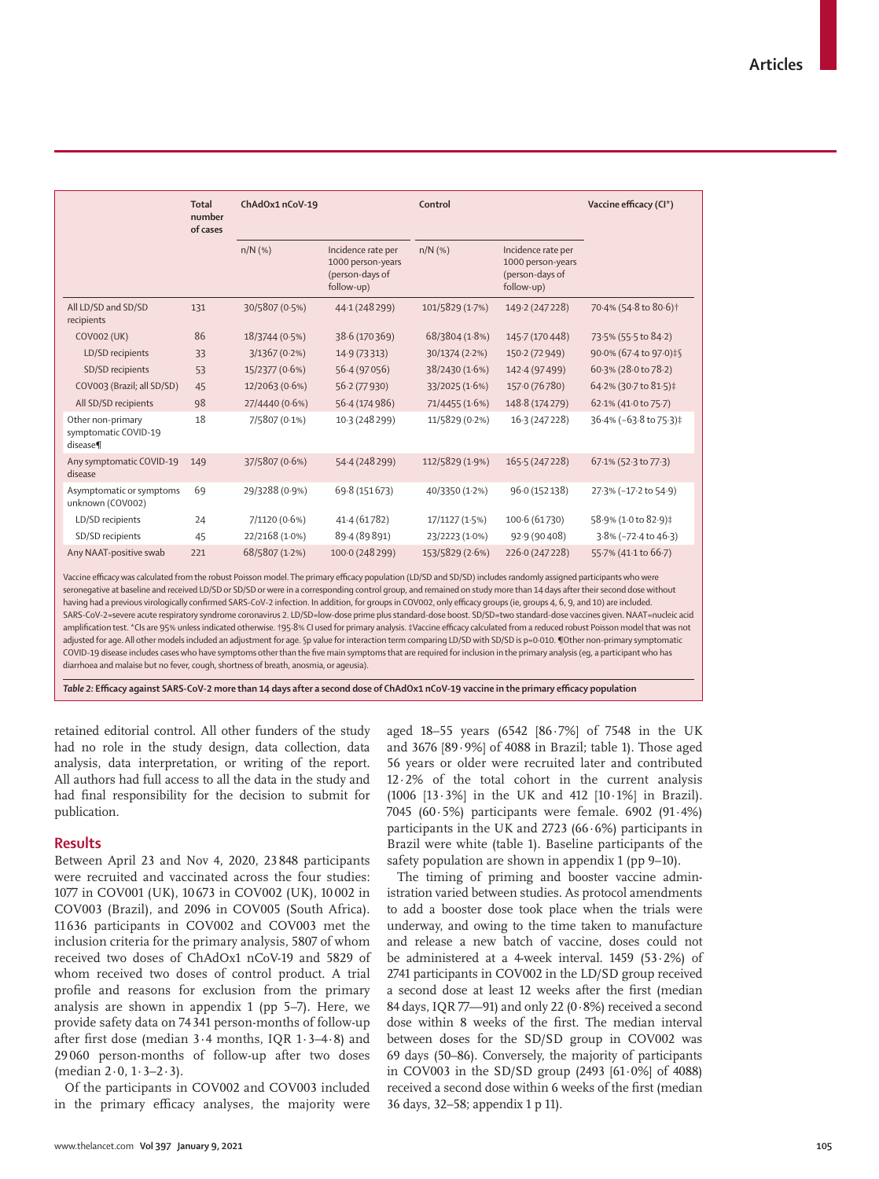|                                                       | <b>Total</b><br>number<br>of cases | ChAdOx1 nCoV-19 |                                                                          | Control         |                                                                          | Vaccine efficacy (CI*)            |
|-------------------------------------------------------|------------------------------------|-----------------|--------------------------------------------------------------------------|-----------------|--------------------------------------------------------------------------|-----------------------------------|
|                                                       |                                    | $n/N$ (%)       | Incidence rate per<br>1000 person-years<br>(person-days of<br>follow-up) | $n/N$ (%)       | Incidence rate per<br>1000 person-years<br>(person-days of<br>follow-up) |                                   |
| All LD/SD and SD/SD<br>recipients                     | 131                                | 30/5807 (0.5%)  | 44.1 (248 299)                                                           | 101/5829 (1.7%) | 149.2 (247228)                                                           | 70.4% (54.8 to 80.6) <sup>†</sup> |
| <b>COV002 (UK)</b>                                    | 86                                 | 18/3744 (0.5%)  | 38.6 (170369)                                                            | 68/3804 (1.8%)  | 145.7 (170 448)                                                          | 73.5% (55.5 to 84.2)              |
| LD/SD recipients                                      | 33                                 | 3/1367(0.2%)    | 14.9 (73313)                                                             | 30/1374 (2.2%)  | 150.2 (72 949)                                                           | 90.0% (67.4 to 97.0) ‡§           |
| SD/SD recipients                                      | 53                                 | 15/2377 (0.6%)  | 56.4 (97056)                                                             | 38/2430 (1.6%)  | 142.4 (97499)                                                            | 60.3% (28.0 to 78.2)              |
| COV003 (Brazil; all SD/SD)                            | 45                                 | 12/2063 (0.6%)  | 56.2 (77 930)                                                            | 33/2025 (1.6%)  | 157.0 (76780)                                                            | 64.2% (30.7 to 81.5)‡             |
| All SD/SD recipients                                  | 98                                 | 27/4440 (0.6%)  | 56.4 (174 986)                                                           | 71/4455 (1.6%)  | 148.8 (174279)                                                           | 62.1% (41.0 to 75.7)              |
| Other non-primary<br>symptomatic COVID-19<br>disease¶ | 18                                 | 7/5807 (0.1%)   | 10.3 (248 299)                                                           | 11/5829 (0.2%)  | 16.3 (247228)                                                            | 36.4% (-63.8 to 75.3)‡            |
| Any symptomatic COVID-19<br>disease                   | 149                                | 37/5807 (0.6%)  | 54.4 (248299)                                                            | 112/5829 (1.9%) | 165.5 (247228)                                                           | 67.1% (52.3 to 77.3)              |
| Asymptomatic or symptoms<br>unknown (COV002)          | 69                                 | 29/3288 (0.9%)  | 69.8 (151673)                                                            | 40/3350 (1.2%)  | 96.0 (152138)                                                            | 27.3% (-17.2 to 54.9)             |
| LD/SD recipients                                      | 24                                 | 7/1120 (0.6%)   | 41.4 (61782)                                                             | 17/1127 (1.5%)  | 100.6 (61730)                                                            | 58.9% (1.0 to 82.9)‡              |
| SD/SD recipients                                      | 45                                 | 22/2168 (1.0%)  | 89.4 (89891)                                                             | 23/2223 (1.0%)  | 92.9 (90 408)                                                            | 3.8% (-72.4 to 46.3)              |
| Any NAAT-positive swab                                | 221                                | 68/5807 (1.2%)  | 100.0 (248299)                                                           | 153/5829 (2.6%) | 226.0 (247228)                                                           | 55.7% (41.1 to 66.7)              |

Vaccine efficacy was calculated from the robust Poisson model. The primary efficacy population (LD/SD and SD/SD) includes randomly assigned participants who were seronegative at baseline and received LD/SD or SD/SD or were in a corresponding control group, and remained on study more than 14 days after their second dose without having had a previous virologically confirmed SARS-CoV-2 infection. In addition, for groups in COV002, only efficacy groups (ie, groups 4, 6, 9, and 10) are included. SARS-CoV-2=severe acute respiratory syndrome coronavirus 2. LD/SD=low-dose prime plus standard-dose boost. SD/SD=two standard-dose vaccines given. NAAT=nucleic acid amplification test. \*CIs are 95% unless indicated otherwise. †95·8% CI used for primary analysis. ‡Vaccine efficacy calculated from a reduced robust Poisson model that was not adjusted for age. All other models included an adjustment for age. §p value for interaction term comparing LD/SD with SD/SD is p=0·010. ¶Other non-primary symptomatic COVID-19 disease includes cases who have symptoms other than the five main symptoms that are required for inclusion in the primary analysis (eg, a participant who has diarrhoea and malaise but no fever, cough, shortness of breath, anosmia, or ageusia).

*Table 2:* **Efficacy against SARS-CoV-2 more than 14 days after a second dose of ChAdOx1 nCoV-19 vaccine in the primary efficacy population**

retained editorial control. All other funders of the study had no role in the study design, data collection, data analysis, data interpretation, or writing of the report. All authors had full access to all the data in the study and had final responsibility for the decision to submit for publication.

#### **Results**

Between April 23 and Nov 4, 2020, 23 848 participants were recruited and vaccinated across the four studies: 1077 in COV001 (UK), 10 673 in COV002 (UK), 10 002 in COV003 (Brazil), and 2096 in COV005 (South Africa). 11 636 participants in COV002 and COV003 met the inclusion criteria for the primary analysis, 5807 of whom received two doses of ChAdOx1 nCoV-19 and 5829 of whom received two doses of control product. A trial profile and reasons for exclusion from the primary analysis are shown in appendix 1 (pp 5–7). Here, we provide safety data on 74 341 person-months of follow-up after first dose (median 3·4 months, IQR 1·3–4·8) and 29 060 person-months of follow-up after two doses (median 2·0, 1·3–2·3).

Of the participants in COV002 and COV003 included in the primary efficacy analyses, the majority were aged 18–55 years (6542 [86·7%] of 7548 in the UK and 3676 [89·9%] of 4088 in Brazil; table 1). Those aged 56 years or older were recruited later and contributed 12·2% of the total cohort in the current analysis (1006 [13·3%] in the UK and 412 [10·1%] in Brazil). 7045 (60·5%) participants were female. 6902 (91·4%) participants in the UK and 2723 (66 $\cdot$ 6%) participants in Brazil were white (table 1). Baseline participants of the safety population are shown in appendix 1 (pp 9–10).

The timing of priming and booster vaccine administration varied between studies. As protocol amendments to add a booster dose took place when the trials were underway, and owing to the time taken to manufacture and release a new batch of vaccine, doses could not be administered at a 4-week interval. 1459 (53·2%) of 2741 participants in COV002 in the LD/SD group received a second dose at least 12 weeks after the first (median 84 days, IQR 77—91) and only 22 (0·8%) received a second dose within 8 weeks of the first. The median interval between doses for the SD/SD group in COV002 was 69 days (50–86). Conversely, the majority of participants in COV003 in the SD/SD group (2493 [61·0%] of 4088) received a second dose within 6 weeks of the first (median 36 days, 32–58; appendix 1 p 11).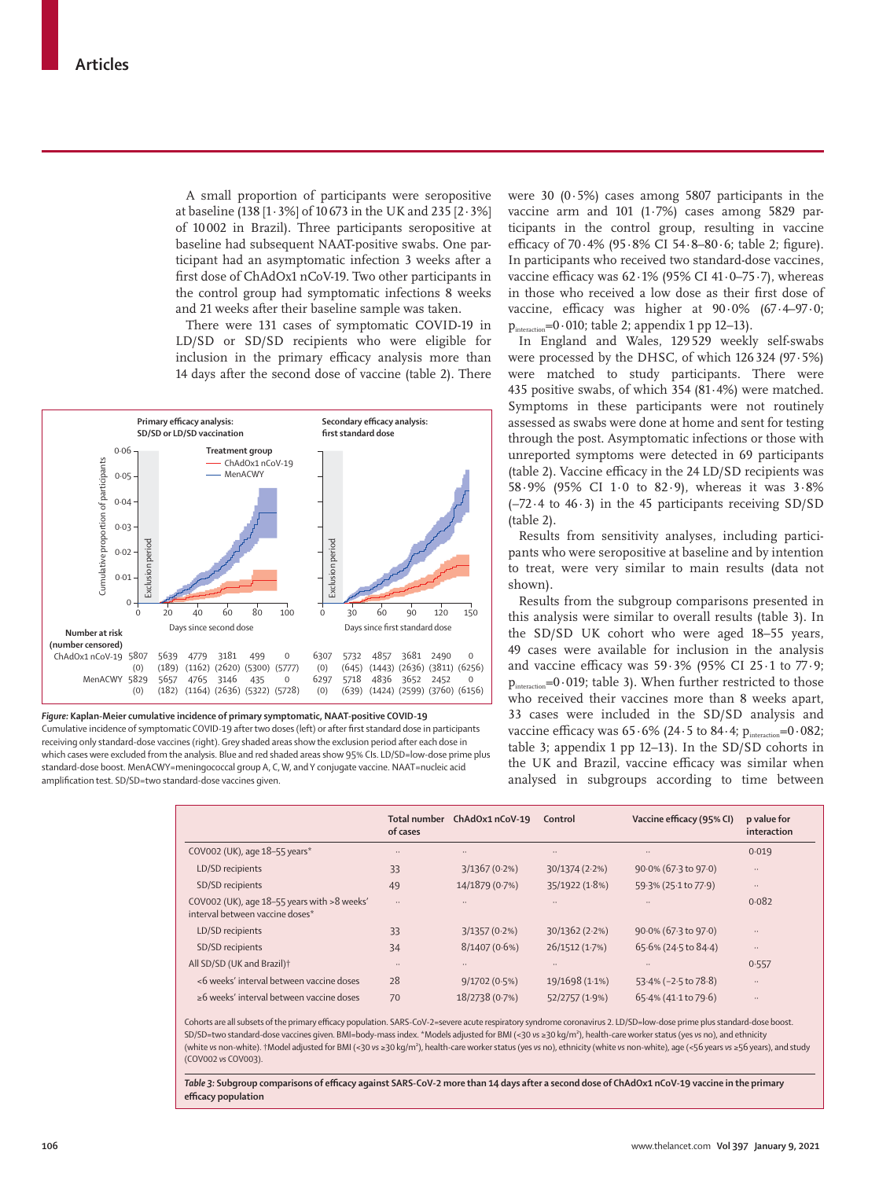A small proportion of participants were seropositive at baseline (138 [1·3%] of 10673 in the UK and 235 [2·3%] of 10002 in Brazil). Three participants seropositive at baseline had subsequent NAAT-positive swabs. One participant had an asymptomatic infection 3 weeks after a first dose of ChAdOx1 nCoV-19. Two other participants in the control group had symptomatic infections 8 weeks and 21 weeks after their baseline sample was taken.

There were 131 cases of symptomatic COVID-19 in LD/SD or SD/SD recipients who were eligible for inclusion in the primary efficacy analysis more than 14 days after the second dose of vaccine (table 2). There



*Figure:* **Kaplan-Meier cumulative incidence of primary symptomatic, NAAT-positive COVID-19** Cumulative incidence of symptomatic COVID-19 after two doses (left) or after first standard dose in participants receiving only standard-dose vaccines (right). Grey shaded areas show the exclusion period after each dose in which cases were excluded from the analysis. Blue and red shaded areas show 95% CIs. LD/SD=low-dose prime plus standard-dose boost. MenACWY=meningococcal group A, C, W, and Y conjugate vaccine. NAAT=nucleic acid amplification test. SD/SD=two standard-dose vaccines given.

were 30  $(0.5\%)$  cases among 5807 participants in the vaccine arm and 101 (1·7%) cases among 5829 participants in the control group, resulting in vaccine efficacy of 70·4% (95·8% CI 54·8–80·6; table 2; figure). In participants who received two standard-dose vaccines, vaccine efficacy was  $62.1\%$  (95% CI  $41.0-75.7$ ), whereas in those who received a low dose as their first dose of vaccine, efficacy was higher at 90·0% (67·4–97·0;  $p_{interaction} = 0.010$ ; table 2; appendix 1 pp 12–13).

In England and Wales, 129529 weekly self-swabs were processed by the DHSC, of which 126 324 (97·5%) were matched to study participants. There were 435 positive swabs, of which 354 (81·4%) were matched. Symptoms in these participants were not routinely assessed as swabs were done at home and sent for testing through the post. Asymptomatic infections or those with unreported symptoms were detected in 69 participants (table 2). Vaccine efficacy in the 24 LD/SD recipients was 58·9% (95% CI 1·0 to 82·9), whereas it was 3·8% (−72·4 to 46·3) in the 45 participants receiving SD/SD (table 2).

Results from sensitivity analyses, including participants who were seropositive at baseline and by intention to treat, were very similar to main results (data not shown).

Results from the subgroup comparisons presented in this analysis were similar to overall results (table 3). In the SD/SD UK cohort who were aged 18–55 years, 49 cases were available for inclusion in the analysis and vaccine efficacy was 59·3% (95% CI 25·1 to 77·9;  $p<sub>interaction</sub>=0.019$ ; table 3). When further restricted to those who received their vaccines more than 8 weeks apart, 33 cases were included in the SD/SD analysis and vaccine efficacy was  $65.6\%$  (24 $.5$  to  $84.4$ ;  $p_{interaction} = 0.082$ ; table 3; appendix 1 pp 12–13). In the SD/SD cohorts in the UK and Brazil, vaccine efficacy was similar when analysed in subgroups according to time between

|                                                                                | Total number<br>of cases | ChAdOx1 nCoV-19      | Control        | Vaccine efficacy (95% CI) | p value for<br>interaction |
|--------------------------------------------------------------------------------|--------------------------|----------------------|----------------|---------------------------|----------------------------|
| COV002 (UK), age 18-55 years*                                                  | $\cdot$                  | $\cdots$             | $\cdots$       | $\cdots$                  | 0.019                      |
| LD/SD recipients                                                               | 33                       | 3/1367(0.2%)         | 30/1374 (2.2%) | 90.0% (67.3 to 97.0)      |                            |
| SD/SD recipients                                                               | 49                       | 14/1879 (0.7%)       | 35/1922 (1.8%) | 59.3% (25.1 to 77.9)      |                            |
| COV002 (UK), age 18-55 years with >8 weeks'<br>interval between vaccine doses* | $\cdot$                  | $\ddot{\phantom{a}}$ | $\cdot$        | $\ddot{\phantom{a}}$      | 0.082                      |
| LD/SD recipients                                                               | 33                       | 3/1357 (0.2%)        | 30/1362 (2.2%) | 90.0% (67.3 to 97.0)      | $\cdot$ .                  |
| SD/SD recipients                                                               | 34                       | 8/1407(0.6%)         | 26/1512 (1.7%) | 65.6% (24.5 to 84.4)      | $\cdots$                   |
| All SD/SD (UK and Brazil)+                                                     | $\cdot$                  | $\cdots$             | $\cdot$        | $\cdots$                  | 0.557                      |
| <6 weeks' interval between vaccine doses                                       | 28                       | 9/1702(0.5%)         | 19/1698 (1.1%) | 53.4% (-2.5 to 78.8)      | $\cdots$                   |
| >6 weeks' interval between vaccine doses                                       | 70                       | 18/2738 (0.7%)       | 52/2757 (1.9%) | 65.4% (41.1 to 79.6)      | $\cdot$ .                  |

Cohorts are all subsets of the primary efficacy population. SARS-CoV-2=severe acute respiratory syndrome coronavirus 2. LD/SD=low-dose prime plus standard-dose boost. SD/SD=two standard-dose vaccines given. BMI=body-mass index. \*Models adjusted for BMI (<30 *vs* ≥30 kg/m²), health-care worker status (yes *vs* no), and ethnicity (white *vs* non-white). †Model adjusted for BMI (<30 *vs* ≥30 kg/m²), health-care worker status (yes *vs* no), ethnicity (white *vs* non-white), age (<56 years *vs* ≥56 years), and study (COV002 *vs* COV003).

*Table 3:* **Subgroup comparisons of efficacy against SARS-CoV-2 more than 14 days after a second dose of ChAdOx1 nCoV-19 vaccine in the primary efficacy population**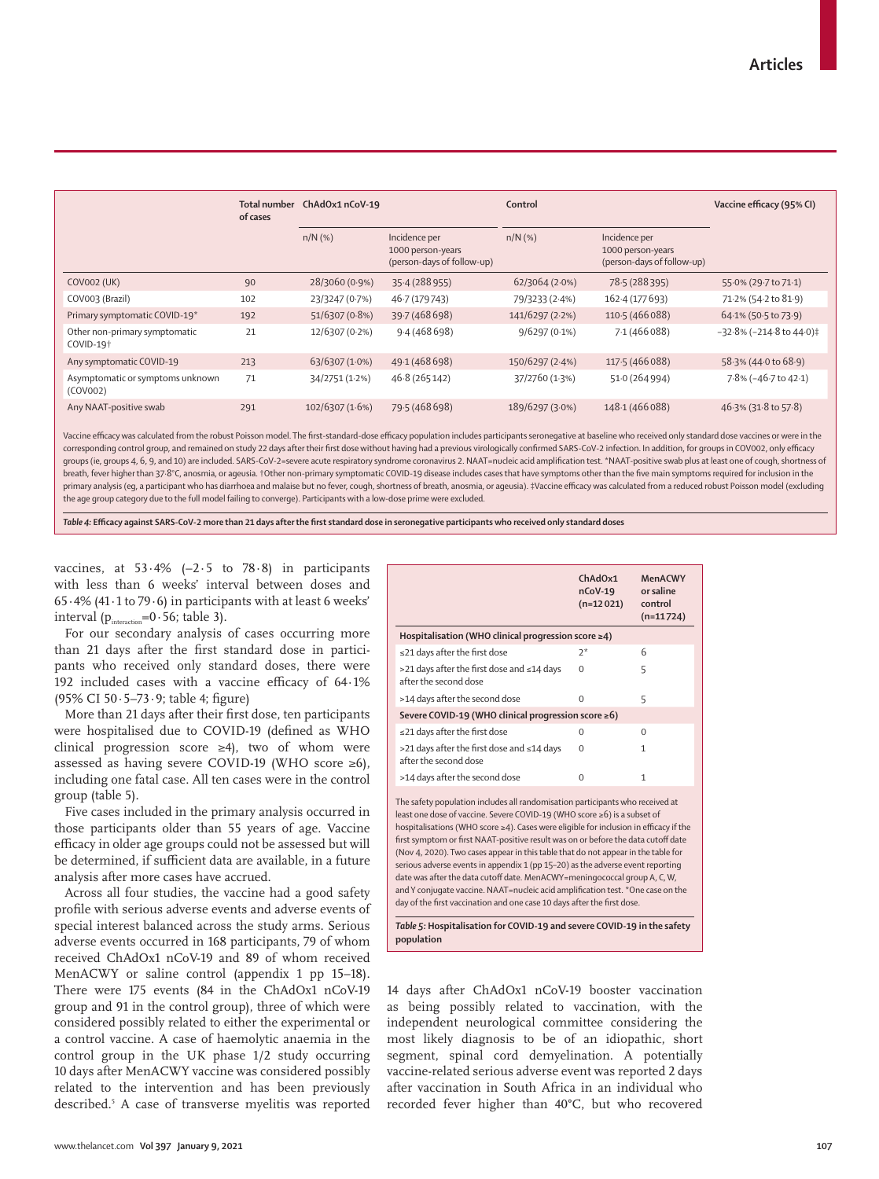|                                                        | <b>Total number</b><br>of cases | ChAdOx1 nCoV-19 |                                                                  | Control         |                                                                  | Vaccine efficacy (95% CI)   |
|--------------------------------------------------------|---------------------------------|-----------------|------------------------------------------------------------------|-----------------|------------------------------------------------------------------|-----------------------------|
|                                                        |                                 | $n/N$ (%)       | Incidence per<br>1000 person-years<br>(person-days of follow-up) | $n/N$ (%)       | Incidence per<br>1000 person-years<br>(person-days of follow-up) |                             |
| <b>COVOO2 (UK)</b>                                     | 90                              | 28/3060 (0.9%)  | 35.4 (288 955)                                                   | 62/3064 (2.0%)  | 78.5 (288 395)                                                   | 55.0% (29.7 to 71.1)        |
| COV003 (Brazil)                                        | 102                             | 23/3247 (0.7%)  | 46.7 (179743)                                                    | 79/3233 (2-4%)  | 162.4 (177 693)                                                  | 71.2% (54.2 to 81.9)        |
| Primary symptomatic COVID-19*                          | 192                             | 51/6307 (0.8%)  | 39.7 (468 698)                                                   | 141/6297 (2.2%) | 110.5 (466 088)                                                  | 64.1% (50.5 to 73.9)        |
| Other non-primary symptomatic<br>COVID-19 <sup>+</sup> | 21                              | 12/6307 (0.2%)  | 9.4(468698)                                                      | $9/6297(0.1\%)$ | 7.1 (466 088)                                                    | $-32.8\%$ (-214.8 to 44.0)‡ |
| Any symptomatic COVID-19                               | 213                             | 63/6307 (1.0%)  | 49.1 (468 698)                                                   | 150/6297(2.4%)  | 117.5 (466 088)                                                  | 58.3% (44.0 to 68.9)        |
| Asymptomatic or symptoms unknown<br>(COV002)           | 71                              | 34/2751 (1.2%)  | 46.8 (265142)                                                    | 37/2760 (1.3%)  | 51.0 (264 994)                                                   | 7.8% (-46.7 to 42.1)        |
| Any NAAT-positive swab                                 | 291                             | 102/6307(1.6%)  | 79.5 (468 698)                                                   | 189/6297 (3.0%) | 148.1 (466 088)                                                  | 46.3% (31.8 to 57.8)        |

Vaccine efficacy was calculated from the robust Poisson model. The first-standard-dose efficacy population includes participants seronegative at baseline who received only standard dose vaccines or were in the corresponding control group, and remained on study 22 days after their first dose without having had a previous virologically confirmed SARS-CoV-2 infection. In addition, for groups in COV002, only efficacy groups (ie, groups 4, 6, 9, and 10) are included. SARS-CoV-2=severe acute respiratory syndrome coronavirus 2. NAAT=nucleic acid amplification test. \*NAAT-positive swab plus at least one of cough, shortness of breath, fever higher than 37·8°C, anosmia, or ageusia. †Other non-primary symptomatic COVID-19 disease includes cases that have symptoms other than the five main symptoms required for inclusion in the primary analysis (eg, a participant who has diarrhoea and malaise but no fever, cough, shortness of breath, anosmia, or ageusia). ‡Vaccine efficacy was calculated from a reduced robust Poisson model (excluding the age group category due to the full model failing to converge). Participants with a low-dose prime were excluded.

*Table 4:* **Efficacy against SARS-CoV-2 more than 21 days after the first standard dose in seronegative participants who received only standard doses**

vaccines, at 53·4% (−2·5 to 78·8) in participants with less than 6 weeks' interval between doses and 65·4% (41·1 to 79·6) in participants with at least 6 weeks' interval  $(p_{interaction}=0.56$ ; table 3).

For our secondary analysis of cases occurring more than 21 days after the first standard dose in participants who received only standard doses, there were 192 included cases with a vaccine efficacy of 64·1% (95% CI 50·5–73·9; table 4; figure)

More than 21 days after their first dose, ten participants were hospitalised due to COVID-19 (defined as WHO clinical progression score ≥4), two of whom were assessed as having severe COVID-19 (WHO score ≥6), including one fatal case. All ten cases were in the control group (table 5).

Five cases included in the primary analysis occurred in those participants older than 55 years of age. Vaccine efficacy in older age groups could not be assessed but will be determined, if sufficient data are available, in a future analysis after more cases have accrued.

Across all four studies, the vaccine had a good safety profile with serious adverse events and adverse events of special interest balanced across the study arms. Serious adverse events occurred in 168 participants, 79 of whom received ChAdOx1 nCoV-19 and 89 of whom received MenACWY or saline control (appendix 1 pp 15–18). There were 175 events (84 in the ChAdOx1 nCoV-19 group and 91 in the control group), three of which were considered possibly related to either the experimental or a control vaccine. A case of haemolytic anaemia in the control group in the UK phase 1/2 study occurring 10 days after MenACWY vaccine was considered possibly related to the intervention and has been previously described.5 A case of transverse myelitis was reported

|                                                                     | ChAdOx1<br>$nCoV-19$<br>$(n=12021)$ | <b>MenACWY</b><br>or saline<br>control<br>$(n=11724)$ |  |  |  |  |
|---------------------------------------------------------------------|-------------------------------------|-------------------------------------------------------|--|--|--|--|
| Hospitalisation (WHO clinical progression score ≥4)                 |                                     |                                                       |  |  |  |  |
| $\leq$ 21 days after the first dose                                 | $2^*$                               | 6                                                     |  |  |  |  |
| >21 days after the first dose and ≤14 days<br>after the second dose | $\Omega$                            | 5                                                     |  |  |  |  |
| >14 days after the second dose                                      | $\Omega$                            | 5                                                     |  |  |  |  |
| Severe COVID-19 (WHO clinical progression score ≥6)                 |                                     |                                                       |  |  |  |  |
| $\leq$ 21 days after the first dose                                 | $\Omega$                            | $\Omega$                                              |  |  |  |  |
| >21 days after the first dose and ≤14 days<br>after the second dose | $\Omega$                            | 1                                                     |  |  |  |  |
| >14 days after the second dose                                      | Ω                                   | 1                                                     |  |  |  |  |

The safety population includes all randomisation participants who received at least one dose of vaccine. Severe COVID-19 (WHO score ≥6) is a subset of hospitalisations (WHO score ≥4). Cases were eligible for inclusion in efficacy if the first symptom or first NAAT-positive result was on or before the data cutoff date (Nov 4, 2020). Two cases appear in this table that do not appear in the table for serious adverse events in appendix 1 (pp 15–20) as the adverse event reporting date was after the data cutoff date. MenACWY=meningococcal group A, C, W, and Y conjugate vaccine. NAAT=nucleic acid amplification test. \*One case on the day of the first vaccination and one case 10 days after the first dose.

*Table 5:* **Hospitalisation for COVID-19 and severe COVID-19 in the safety population**

14 days after ChAdOx1 nCoV-19 booster vaccination as being possibly related to vaccination, with the independent neurological committee considering the most likely diagnosis to be of an idiopathic, short segment, spinal cord demyelination. A potentially vaccine-related serious adverse event was reported 2 days after vaccination in South Africa in an individual who recorded fever higher than 40°C, but who recovered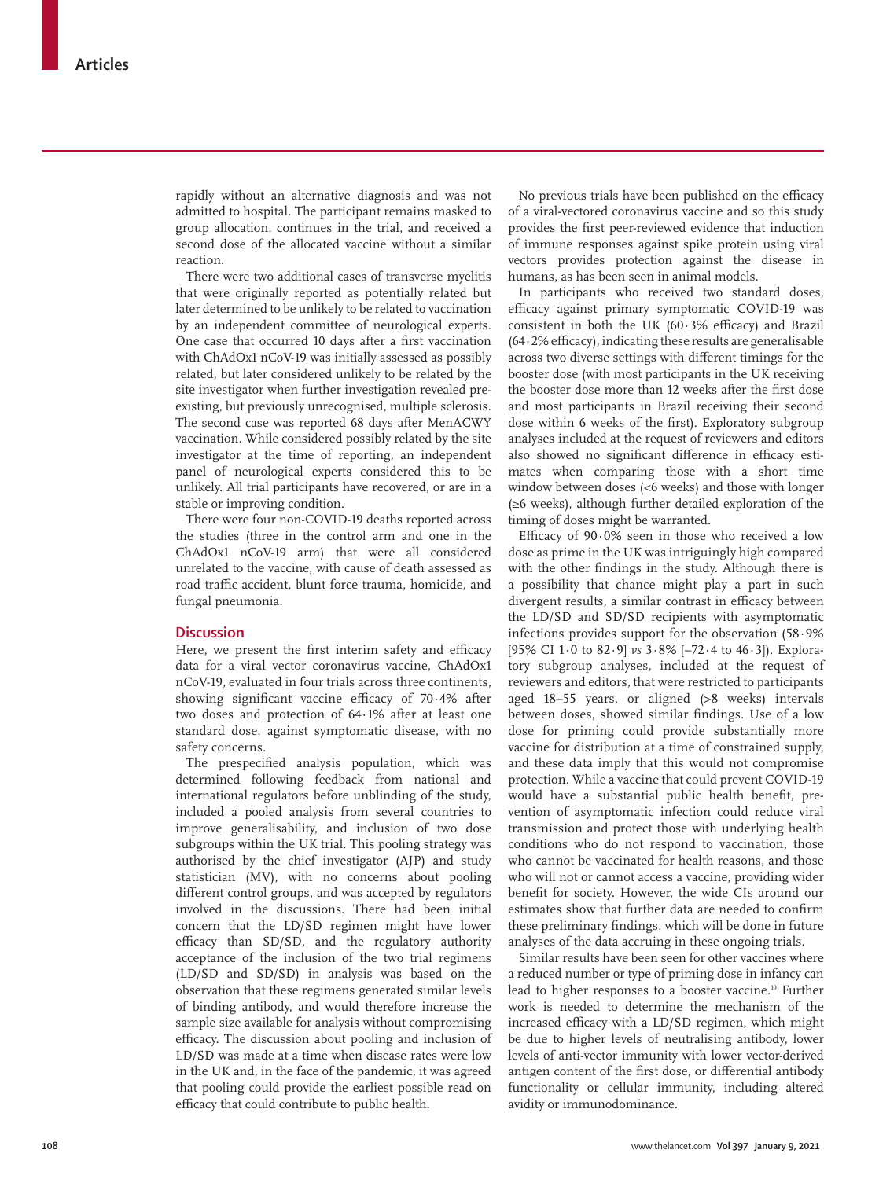rapidly without an alternative diagnosis and was not admitted to hospital. The participant remains masked to group allocation, continues in the trial, and received a second dose of the allocated vaccine without a similar reaction.

There were two additional cases of transverse myelitis that were originally reported as potentially related but later determined to be unlikely to be related to vaccination by an independent committee of neurological experts. One case that occurred 10 days after a first vaccination with ChAdOx1 nCoV-19 was initially assessed as possibly related, but later considered unlikely to be related by the site investigator when further investigation revealed preexisting, but previously unrecognised, multiple sclerosis. The second case was reported 68 days after MenACWY vaccination. While considered possibly related by the site investigator at the time of reporting, an independent panel of neurological experts considered this to be unlikely. All trial participants have recovered, or are in a stable or improving condition.

There were four non-COVID-19 deaths reported across the studies (three in the control arm and one in the ChAdOx1 nCoV-19 arm) that were all considered unrelated to the vaccine, with cause of death assessed as road traffic accident, blunt force trauma, homicide, and fungal pneumonia.

#### **Discussion**

Here, we present the first interim safety and efficacy data for a viral vector coronavirus vaccine, ChAdOx1 nCoV-19, evaluated in four trials across three continents, showing significant vaccine efficacy of 70·4% after two doses and protection of 64·1% after at least one standard dose, against symptomatic disease, with no safety concerns.

The prespecified analysis population, which was determined following feedback from national and international regulators before unblinding of the study, included a pooled analysis from several countries to improve generalisability, and inclusion of two dose subgroups within the UK trial. This pooling strategy was authorised by the chief investigator (AJP) and study statistician (MV), with no concerns about pooling different control groups, and was accepted by regulators involved in the discussions. There had been initial concern that the LD/SD regimen might have lower efficacy than SD/SD, and the regulatory authority acceptance of the inclusion of the two trial regimens (LD/SD and SD/SD) in analysis was based on the observation that these regimens generated similar levels of binding antibody, and would therefore increase the sample size available for analysis without compromising efficacy. The discussion about pooling and inclusion of LD/SD was made at a time when disease rates were low in the UK and, in the face of the pandemic, it was agreed that pooling could provide the earliest possible read on efficacy that could contribute to public health.

No previous trials have been published on the efficacy of a viral-vectored coronavirus vaccine and so this study provides the first peer-reviewed evidence that induction of immune responses against spike protein using viral vectors provides protection against the disease in humans, as has been seen in animal models.

In participants who received two standard doses, efficacy against primary symptomatic COVID-19 was consistent in both the UK  $(60.3\%$  efficacy) and Brazil  $(64.2\%$  efficacy), indicating these results are generalisable across two diverse settings with different timings for the booster dose (with most participants in the UK receiving the booster dose more than 12 weeks after the first dose and most participants in Brazil receiving their second dose within 6 weeks of the first). Exploratory subgroup analyses included at the request of reviewers and editors also showed no significant difference in efficacy estimates when comparing those with a short time window between doses (<6 weeks) and those with longer (≥6 weeks), although further detailed exploration of the timing of doses might be warranted.

Efficacy of 90·0% seen in those who received a low dose as prime in the UK was intriguingly high compared with the other findings in the study. Although there is a possibility that chance might play a part in such divergent results, a similar contrast in efficacy between the LD/SD and SD/SD recipients with asymptomatic infections provides support for the observation (58·9% [95% CI 1·0 to 82·9] *vs* 3·8% [−72·4 to 46·3]). Exploratory subgroup analyses, included at the request of reviewers and editors, that were restricted to participants aged 18–55 years, or aligned (>8 weeks) intervals between doses, showed similar findings. Use of a low dose for priming could provide substantially more vaccine for distribution at a time of constrained supply, and these data imply that this would not compromise protection. While a vaccine that could prevent COVID-19 would have a substantial public health benefit, prevention of asymptomatic infection could reduce viral transmission and protect those with underlying health conditions who do not respond to vaccination, those who cannot be vaccinated for health reasons, and those who will not or cannot access a vaccine, providing wider benefit for society. However, the wide CIs around our estimates show that further data are needed to confirm these preliminary findings, which will be done in future analyses of the data accruing in these ongoing trials.

Similar results have been seen for other vaccines where a reduced number or type of priming dose in infancy can lead to higher responses to a booster vaccine.<sup>10</sup> Further work is needed to determine the mechanism of the increased efficacy with a LD/SD regimen, which might be due to higher levels of neutralising antibody, lower levels of anti-vector immunity with lower vector-derived antigen content of the first dose, or differential antibody functionality or cellular immunity, including altered avidity or immunodominance.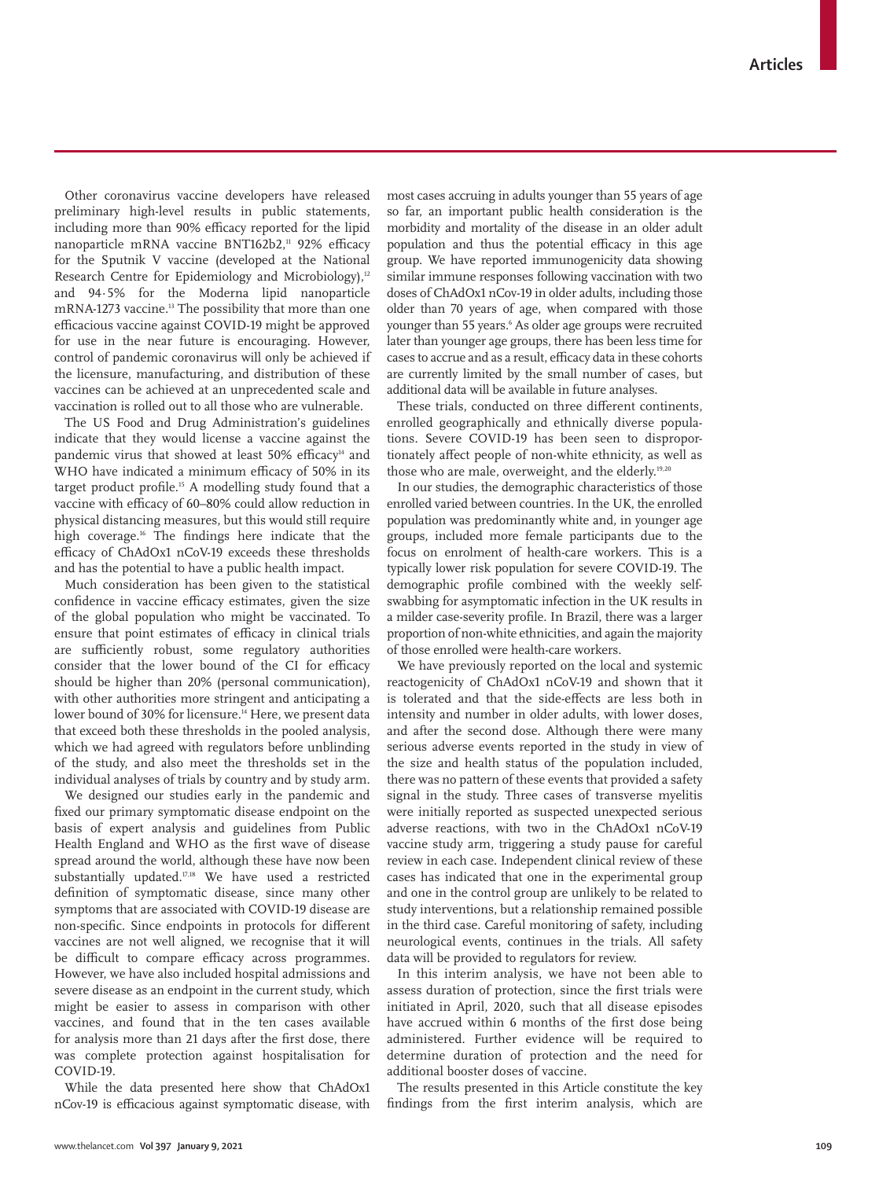Other coronavirus vaccine developers have released preliminary high-level results in public statements, including more than 90% efficacy reported for the lipid nanoparticle mRNA vaccine BNT162b2,<sup>11</sup> 92% efficacy for the Sputnik V vaccine (developed at the National Research Centre for Epidemiology and Microbiology),<sup>12</sup> and 94·5% for the Moderna lipid nanoparticle mRNA-1273 vaccine.<sup>13</sup> The possibility that more than one efficacious vaccine against COVID-19 might be approved for use in the near future is encouraging. However, control of pandemic coronavirus will only be achieved if the licensure, manufacturing, and distribution of these vaccines can be achieved at an unprecedented scale and vaccination is rolled out to all those who are vulnerable.

The US Food and Drug Administration's guidelines indicate that they would license a vaccine against the pandemic virus that showed at least 50% efficacy<sup>14</sup> and WHO have indicated a minimum efficacy of 50% in its target product profile.<sup>15</sup> A modelling study found that a vaccine with efficacy of 60–80% could allow reduction in physical distancing measures, but this would still require high coverage.16 The findings here indicate that the efficacy of ChAdOx1 nCoV-19 exceeds these thresholds and has the potential to have a public health impact.

Much consideration has been given to the statistical confidence in vaccine efficacy estimates, given the size of the global population who might be vaccinated. To ensure that point estimates of efficacy in clinical trials are sufficiently robust, some regulatory authorities consider that the lower bound of the CI for efficacy should be higher than 20% (personal communication), with other authorities more stringent and anticipating a lower bound of 30% for licensure.<sup>14</sup> Here, we present data that exceed both these thresholds in the pooled analysis, which we had agreed with regulators before unblinding of the study, and also meet the thresholds set in the individual analyses of trials by country and by study arm.

We designed our studies early in the pandemic and fixed our primary symptomatic disease endpoint on the basis of expert analysis and guidelines from Public Health England and WHO as the first wave of disease spread around the world, although these have now been substantially updated.<sup>17,18</sup> We have used a restricted definition of symptomatic disease, since many other symptoms that are associated with COVID-19 disease are non-specific. Since endpoints in protocols for different vaccines are not well aligned, we recognise that it will be difficult to compare efficacy across programmes. However, we have also included hospital admissions and severe disease as an endpoint in the current study, which might be easier to assess in comparison with other vaccines, and found that in the ten cases available for analysis more than 21 days after the first dose, there was complete protection against hospitalisation for COVID-19.

While the data presented here show that ChAdOx1 nCov-19 is efficacious against symptomatic disease, with most cases accruing in adults younger than 55 years of age so far, an important public health consideration is the morbidity and mortality of the disease in an older adult population and thus the potential efficacy in this age group. We have reported immunogenicity data showing similar immune responses following vaccination with two doses of ChAdOx1 nCov-19 in older adults, including those older than 70 years of age, when compared with those younger than 55 years.<sup>6</sup> As older age groups were recruited later than younger age groups, there has been less time for cases to accrue and as a result, efficacy data in these cohorts are currently limited by the small number of cases, but additional data will be available in future analyses.

These trials, conducted on three different continents, enrolled geographically and ethnically diverse populations. Severe COVID-19 has been seen to disproportionately affect people of non-white ethnicity, as well as those who are male, overweight, and the elderly.<sup>19,20</sup>

In our studies, the demographic characteristics of those enrolled varied between countries. In the UK, the enrolled population was predominantly white and, in younger age groups, included more female participants due to the focus on enrolment of health-care workers. This is a typically lower risk population for severe COVID-19. The demographic profile combined with the weekly selfswabbing for asymptomatic infection in the UK results in a milder case-severity profile. In Brazil, there was a larger proportion of non-white ethnicities, and again the majority of those enrolled were health-care workers.

We have previously reported on the local and systemic reactogenicity of ChAdOx1 nCoV-19 and shown that it is tolerated and that the side-effects are less both in intensity and number in older adults, with lower doses, and after the second dose. Although there were many serious adverse events reported in the study in view of the size and health status of the population included, there was no pattern of these events that provided a safety signal in the study. Three cases of transverse myelitis were initially reported as suspected unexpected serious adverse reactions, with two in the ChAdOx1 nCoV-19 vaccine study arm, triggering a study pause for careful review in each case. Independent clinical review of these cases has indicated that one in the experimental group and one in the control group are unlikely to be related to study interventions, but a relationship remained possible in the third case. Careful monitoring of safety, including neurological events, continues in the trials. All safety data will be provided to regulators for review.

In this interim analysis, we have not been able to assess duration of protection, since the first trials were initiated in April, 2020, such that all disease episodes have accrued within 6 months of the first dose being administered. Further evidence will be required to determine duration of protection and the need for additional booster doses of vaccine.

The results presented in this Article constitute the key findings from the first interim analysis, which are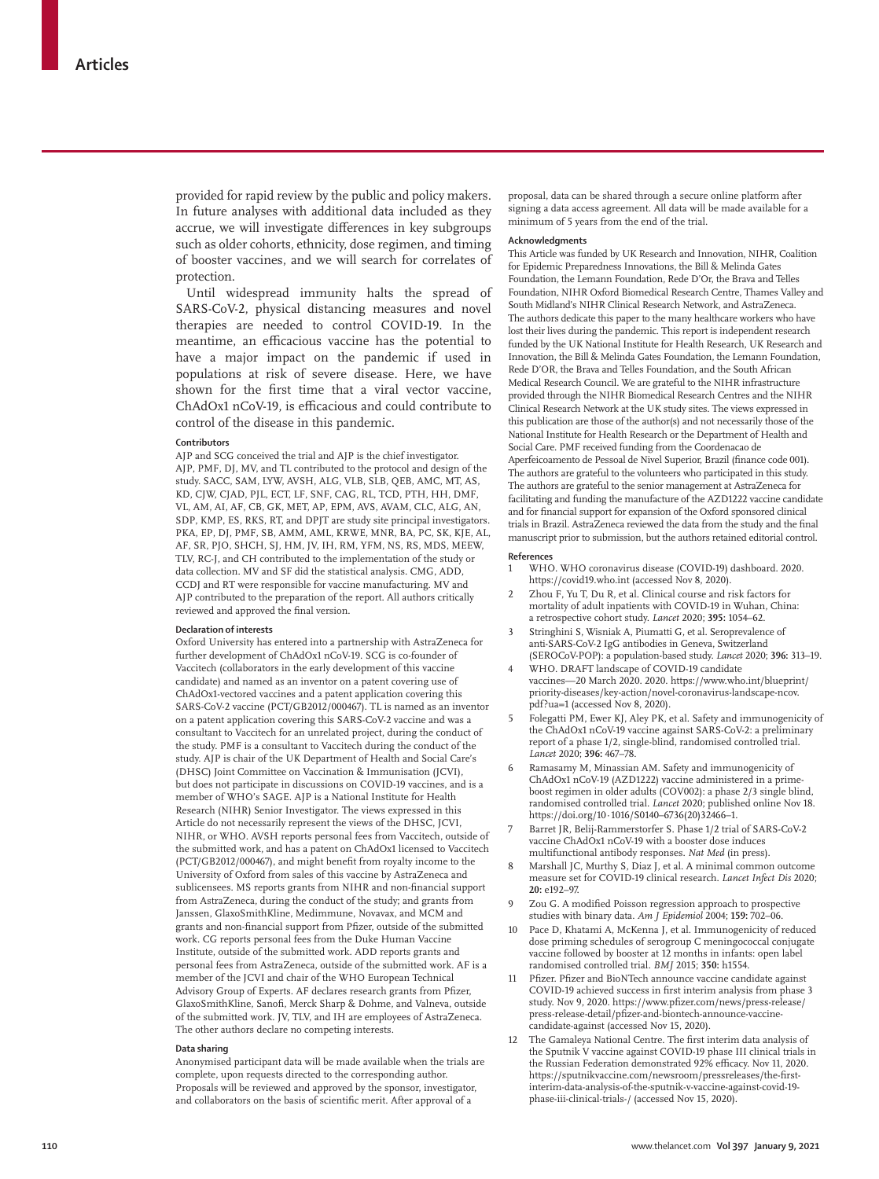provided for rapid review by the public and policy makers. In future analyses with additional data included as they accrue, we will investigate differences in key subgroups such as older cohorts, ethnicity, dose regimen, and timing of booster vaccines, and we will search for correlates of protection.

Until widespread immunity halts the spread of SARS-CoV-2, physical distancing measures and novel therapies are needed to control COVID-19. In the meantime, an efficacious vaccine has the potential to have a major impact on the pandemic if used in populations at risk of severe disease. Here, we have shown for the first time that a viral vector vaccine, ChAdOx1 nCoV-19, is efficacious and could contribute to control of the disease in this pandemic.

#### **Contributors**

AJP and SCG conceived the trial and AJP is the chief investigator. AJP, PMF, DJ, MV, and TL contributed to the protocol and design of the study. SACC, SAM, LYW, AVSH, ALG, VLB, SLB, QEB, AMC, MT, AS, KD, CJW, CJAD, PJL, ECT, LF, SNF, CAG, RL, TCD, PTH, HH, DMF, VL, AM, AI, AF, CB, GK, MET, AP, EPM, AVS, AVAM, CLC, ALG, AN, SDP, KMP, ES, RKS, RT, and DPJT are study site principal investigators. PKA, EP, DJ, PMF, SB, AMM, AML, KRWE, MNR, BA, PC, SK, KJE, AL, AF, SR, PJO, SHCH, SJ, HM, JV, IH, RM, YFM, NS, RS, MDS, MEEW, TLV, RC-J, and CH contributed to the implementation of the study or data collection. MV and SF did the statistical analysis. CMG, ADD, CCDJ and RT were responsible for vaccine manufacturing. MV and AJP contributed to the preparation of the report. All authors critically reviewed and approved the final version.

#### **Declaration of interests**

Oxford University has entered into a partnership with AstraZeneca for further development of ChAdOx1 nCoV-19. SCG is co-founder of Vaccitech (collaborators in the early development of this vaccine candidate) and named as an inventor on a patent covering use of ChAdOx1-vectored vaccines and a patent application covering this SARS-CoV-2 vaccine (PCT/GB2012/000467). TL is named as an inventor on a patent application covering this SARS-CoV-2 vaccine and was a consultant to Vaccitech for an unrelated project, during the conduct of the study. PMF is a consultant to Vaccitech during the conduct of the study. AJP is chair of the UK Department of Health and Social Care's (DHSC) Joint Committee on Vaccination & Immunisation (JCVI), but does not participate in discussions on COVID-19 vaccines, and is a member of WHO's SAGE. AJP is a National Institute for Health Research (NIHR) Senior Investigator. The views expressed in this Article do not necessarily represent the views of the DHSC, JCVI, NIHR, or WHO. AVSH reports personal fees from Vaccitech, outside of the submitted work, and has a patent on ChAdOx1 licensed to Vaccitech (PCT/GB2012/000467), and might benefit from royalty income to the University of Oxford from sales of this vaccine by AstraZeneca and sublicensees. MS reports grants from NIHR and non-financial support from AstraZeneca, during the conduct of the study; and grants from Janssen, GlaxoSmithKline, Medimmune, Novavax, and MCM and grants and non-financial support from Pfizer, outside of the submitted work. CG reports personal fees from the Duke Human Vaccine Institute, outside of the submitted work. ADD reports grants and personal fees from AstraZeneca, outside of the submitted work. AF is a member of the JCVI and chair of the WHO European Technical Advisory Group of Experts. AF declares research grants from Pfizer, GlaxoSmithKline, Sanofi, Merck Sharp & Dohme, and Valneva, outside of the submitted work. JV, TLV, and IH are employees of AstraZeneca. The other authors declare no competing interests.

#### **Data sharing**

Anonymised participant data will be made available when the trials are complete, upon requests directed to the corresponding author. Proposals will be reviewed and approved by the sponsor, investigator, and collaborators on the basis of scientific merit. After approval of a

proposal, data can be shared through a secure online platform after signing a data access agreement. All data will be made available for a minimum of 5 years from the end of the trial.

#### **Acknowledgments**

This Article was funded by UK Research and Innovation, NIHR, Coalition for Epidemic Preparedness Innovations, the Bill & Melinda Gates Foundation, the Lemann Foundation, Rede D'Or, the Brava and Telles Foundation, NIHR Oxford Biomedical Research Centre, Thames Valley and South Midland's NIHR Clinical Research Network, and AstraZeneca. The authors dedicate this paper to the many healthcare workers who have lost their lives during the pandemic. This report is independent research funded by the UK National Institute for Health Research, UK Research and Innovation, the Bill & Melinda Gates Foundation, the Lemann Foundation, Rede D'OR, the Brava and Telles Foundation, and the South African Medical Research Council. We are grateful to the NIHR infrastructure provided through the NIHR Biomedical Research Centres and the NIHR Clinical Research Network at the UK study sites. The views expressed in this publication are those of the author(s) and not necessarily those of the National Institute for Health Research or the Department of Health and Social Care. PMF received funding from the Coordenacao de Aperfeicoamento de Pessoal de Nivel Superior, Brazil (finance code 001). The authors are grateful to the volunteers who participated in this study. The authors are grateful to the senior management at AstraZeneca for facilitating and funding the manufacture of the AZD1222 vaccine candidate and for financial support for expansion of the Oxford sponsored clinical trials in Brazil. AstraZeneca reviewed the data from the study and the final manuscript prior to submission, but the authors retained editorial control.

#### **References**

- 1 WHO. WHO coronavirus disease (COVID-19) dashboard. 2020. https://covid19.who.int (accessed Nov 8, 2020).
- 2 Zhou F, Yu T, Du R, et al. Clinical course and risk factors for mortality of adult inpatients with COVID-19 in Wuhan, China: a retrospective cohort study. *Lancet* 2020; **395:** 1054–62.
- 3 Stringhini S, Wisniak A, Piumatti G, et al. Seroprevalence of anti-SARS-CoV-2 IgG antibodies in Geneva, Switzerland (SEROCoV-POP): a population-based study. *Lancet* 2020; **396:** 313–19.
- WHO. DRAFT landscape of COVID-19 candidate vaccines—20 March 2020. 2020. https://www.who.int/blueprint/ priority-diseases/key-action/novel-coronavirus-landscape-ncov. pdf?ua=1 (accessed Nov 8, 2020).
- 5 Folegatti PM, Ewer KJ, Aley PK, et al. Safety and immunogenicity of the ChAdOx1 nCoV-19 vaccine against SARS-CoV-2: a preliminary report of a phase 1/2, single-blind, randomised controlled trial. *Lancet* 2020; **396:** 467–78.
- 6 Ramasamy M, Minassian AM. Safety and immunogenicity of ChAdOx1 nCoV-19 (AZD1222) vaccine administered in a primeboost regimen in older adults (COV002): a phase 2/3 single blind, randomised controlled trial. *Lancet* 2020; published online Nov 18. https://doi.org/10·1016/S0140–6736(20)32466–1.
- 7 Barret JR, Belij-Rammerstorfer S. Phase 1/2 trial of SARS-CoV-2 vaccine ChAdOx1 nCoV-19 with a booster dose induces multifunctional antibody responses. *Nat Med* (in press).
- 8 Marshall JC, Murthy S, Diaz J, et al. A minimal common outcome measure set for COVID-19 clinical research. *Lancet Infect Dis* 2020; **20:** e192–97.
- Zou G. A modified Poisson regression approach to prospective studies with binary data. *Am J Epidemiol* 2004; **159:** 702–06.
- 10 Pace D, Khatami A, McKenna J, et al. Immunogenicity of reduced dose priming schedules of serogroup C meningococcal conjugate vaccine followed by booster at 12 months in infants: open label randomised controlled trial. *BMJ* 2015; **350:** h1554.
- Pfizer. Pfizer and BioNTech announce vaccine candidate against COVID-19 achieved success in first interim analysis from phase 3 study. Nov 9, 2020. https://www.pfizer.com/news/press-release/ press-release-detail/pfizer-and-biontech-announce-vaccinecandidate-against (accessed Nov 15, 2020).
- 12 The Gamaleya National Centre. The first interim data analysis of the Sputnik V vaccine against COVID-19 phase III clinical trials in the Russian Federation demonstrated 92% efficacy. Nov 11, 2020. https://sputnikvaccine.com/newsroom/pressreleases/the-firstinterim-data-analysis-of-the-sputnik-v-vaccine-against-covid-19 phase-iii-clinical-trials-/ (accessed Nov 15, 2020)